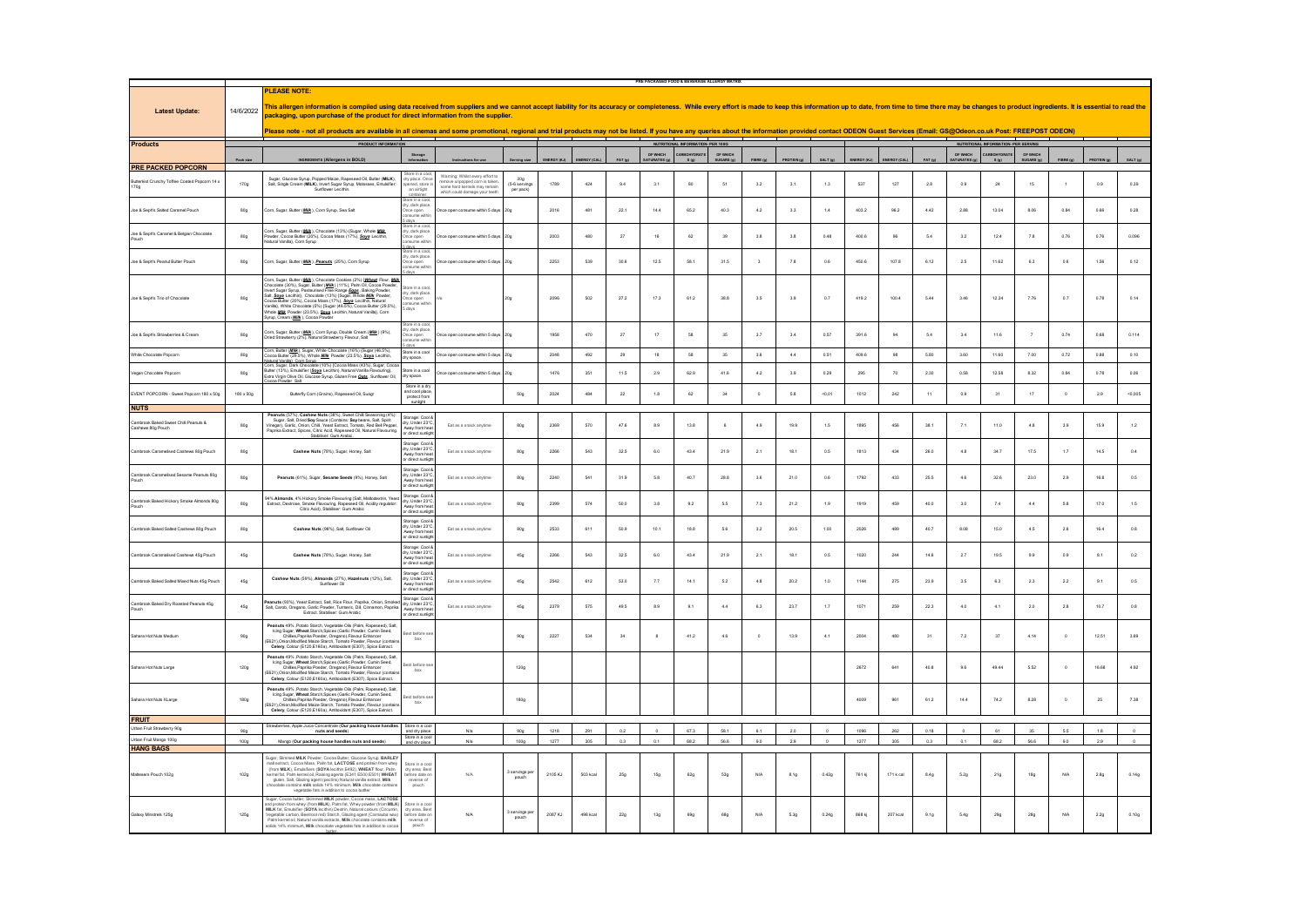|                                                        |                 |                                                                                                                                                                                                                                                                                                                                                                                                                                                                                              |                                                                                      |                                                                                                                                |                                  |             |              |        | PRE PACKAGED FOOD & BEVERAGE ALLERGY MATRIX |                                  |                      |            |                  |                |                     |           |              |                           |                                            |                        |          |                  |          |
|--------------------------------------------------------|-----------------|----------------------------------------------------------------------------------------------------------------------------------------------------------------------------------------------------------------------------------------------------------------------------------------------------------------------------------------------------------------------------------------------------------------------------------------------------------------------------------------------|--------------------------------------------------------------------------------------|--------------------------------------------------------------------------------------------------------------------------------|----------------------------------|-------------|--------------|--------|---------------------------------------------|----------------------------------|----------------------|------------|------------------|----------------|---------------------|-----------|--------------|---------------------------|--------------------------------------------|------------------------|----------|------------------|----------|
| <b>Latest Update:</b>                                  | 14/6/2022       | <b>PLEASE NOTE:</b><br>This allergen information is compiled using data received from suppliers and we cannot accept liability for its accuracy or completeness. While every effort is made to keep this information up to date, from time to time th<br>packaging, upon purchase of the product for direct information from the supplier.                                                                                                                                                   |                                                                                      |                                                                                                                                |                                  |             |              |        |                                             |                                  |                      |            |                  |                |                     |           |              |                           |                                            |                        |          |                  |          |
|                                                        |                 | Please note - not all products are available in all cinemas and some promotional, regional and trial products may not be listed. If you have any queries about the information provided contact ODEON Guest Services (Email: G                                                                                                                                                                                                                                                               |                                                                                      |                                                                                                                                |                                  |             |              |        |                                             |                                  |                      |            |                  |                |                     |           |              |                           |                                            |                        |          |                  |          |
| <b>Products</b>                                        |                 | <b>PRODUCT INFORMATION</b>                                                                                                                                                                                                                                                                                                                                                                                                                                                                   |                                                                                      |                                                                                                                                |                                  |             |              |        |                                             | NUTRITIONAL INFORMATION-PER 100G |                      |            |                  |                |                     |           |              |                           | <b>NUTRITIONAL INFORMATION-PER SERVING</b> |                        |          |                  |          |
|                                                        | Pack size       | INGREDIENTS (Allergens in BOLD)                                                                                                                                                                                                                                                                                                                                                                                                                                                              | Storage<br>decession                                                                 |                                                                                                                                | <b>Render sin</b>                | INFROY IK.D | ENFROY (CAL) | FAT in | OF WHICH<br>SATURATES (o                    | CARROHYDRATI<br>R(m)             | OF WHICH<br>SUGARS 6 |            |                  | <b>SALT In</b> | <b>INFROY (K.B.</b> |           | PAT 4        | OF WHICH<br>SATURATES (g) | CARBOHYDRATE<br>8(n)                       | OF WHICH<br>SUGARS (g) |          |                  |          |
| <b>PRE PACKED POPCORN</b>                              |                 |                                                                                                                                                                                                                                                                                                                                                                                                                                                                                              |                                                                                      |                                                                                                                                |                                  |             |              |        |                                             |                                  |                      |            |                  |                |                     |           |              |                           |                                            |                        |          |                  |          |
| erkist Crunchy Toffee Coated Popcorn 14 x<br>170g      | 170g            | Sugar, Glucose Syrup, Popped Maize, Rapeseed Oil, Butter (MILK),<br>Salt, Single Cream (MILK), Invert Sugar Syrup, Molasses, Emulsifier:<br>Sunflower Lecithin.                                                                                                                                                                                                                                                                                                                              | ry place. Once<br>ned, store<br>an airtight<br>ore in a coo                          | Warning: Whilst every effort to<br>nove unpopped corn is taken<br>ome hard kernels may remain<br>which could damage your teeth | 30q<br>(5-6 serving<br>per pack) | 1789        | 424          | 9.4    | 3.1                                         | 80                               | 51                   | 3.2        | 3.1              | 1.3            | 537                 | 127       | 2.8          | 0.9                       | 24                                         | 15                     |          | 0.9              | 0.39     |
| Joe & Seph's Salted Caramel Pouch                      | 80g             | Corn, Sugar, Butter (Milk), Corn Syrup, Sea Salt                                                                                                                                                                                                                                                                                                                                                                                                                                             | ove in a cool<br>y, dark place<br>nce open<br>insume withir                          | Once open consume within 5 days                                                                                                | <b>20g</b>                       | 2016        | 481          | 22.1   | 14.4                                        | 65.2                             | 40.3                 | 4.2        | 3.3              | 14             | 403.2               | 96.2      | 4.42         | 2.88                      | 13.04                                      | 8.06                   | 0.84     | 0.66             | 0.28     |
| Joe & Seph's Caramel & Belgian Chocolat                | 80g             | Corn, Sugar, Butter ( <u>Millik</u> ), Chocolate (13%) (Sugar, Whole <u>Millik</u><br>Powder, Cocoa Butter (20%), Cocoa Mass (17%), <u>Soya</u> Lecithin,<br>Natural Vanilla), Com Syrup                                                                                                                                                                                                                                                                                                     | are<br>ore in a coo<br>, dark place<br>e open<br>:ume with                           | ce open consume within 5 days                                                                                                  | 20g                              | 2003        | 480          | $27\,$ | 16                                          | 62                               | 29                   | 3.8        | $_{\rm 3.8}$     | 0.48           | 400R                |           | 6.4          | $_{\rm 3.2}$              | 12.4                                       | 7.8                    | 0.76     | 0.76             | 0.096    |
| Joe & Seph's Peanut Butter Pouch                       | 80g             | Corn, Sugar, Butter (Milk), Peanuts (25%), Corn Syrup                                                                                                                                                                                                                                                                                                                                                                                                                                        | ore in a coo<br>y, dark place<br>nce open<br>nsume within                            | Ince open consume within 5 days. 20g                                                                                           |                                  | 2253        | 539          | 30.6   | 12.5                                        | 58.1                             | 31.5                 |            | 7.8              | 0.6            | 450.6               | 107.8     | 6.12         | 2.5                       | 11.62                                      | 6.3                    | 0.6      | 1.66             | 0.12     |
| Joe & Seph's Trio of Chocolate                         | 80g             | Corn, Sugar, Butter ( <u>Millk</u> ), Chocolate Cookies (2%) ( <u>Wheat</u> Flour, <u>Milk.</u><br>Chocolate (30%), Sugar, Butter ( <u>Milk</u> ) (11%), Palm Oil, Cocoa Powder,<br>Invert Sugar Syrup, Pasteurised Free Range <u>Egges,</u> Baking Powder,<br>firmt soups option. Trainsuinsele ries rains go Egge, autority Prononi, Sait, Sang Leidhin), Chocolaide (13%) (Sagar, Whole Mills, Powder, Cocoa Butter (20%), Cocoa Matter (29. Sagar, Mills), White Chocoals (5%) (Sagar, ( | re in a coo<br>y, dark place<br>ce open<br>sume within<br><br>days                   |                                                                                                                                |                                  | 2096        | 502          | 27.2   | 17.3                                        | 61.2                             | 38.8                 | 3.5        | 3.9              | 0.7            | 419.2               | 100.4     | 5.44         | 3.46                      | 12.24                                      | 7.76                   | 0.7      | 0.78             | 0.14     |
| Joe & Seph's Strawberries & Cream                      | 80g             | .<br>Corn, Sugar, Butter ( <mark>MWk</mark> ), Corn Syrup, Double Cream ( <u>MWk</u> ) (9%),<br>Jried Strawberry (2%), Natural Strawberry Flavour, Salt                                                                                                                                                                                                                                                                                                                                      | dark plac<br>ume with                                                                | ce open consume within 5 days                                                                                                  | 20 <sub>g</sub>                  | 1958        | 470          | $27\,$ | 17                                          | 58                               | 35                   | 3.7        | 3.4              | 0.57           | 391.6               | 94        | $_{\rm 5.4}$ | 3.4                       | 11.6                                       |                        | 0.74     | 0.68             | 0.114    |
| White Chocolate Popcorn                                | 80g             | Corn, Butter (Milk), Sugar, White Chocolate (16%) (Sugar (46.5%)<br>coa Butter (29.5%), Whole Milk Powder (23.5%), Soya Lecithin,<br>latural Vanilla) Corn Syrup                                                                                                                                                                                                                                                                                                                             | ore in a coo<br>y space.                                                             | Ince open consume within 5 days.                                                                                               | 20 <sub>g</sub>                  | 2048        | 492          | 29     | 18                                          | 58                               | 35                   | 3.6        | $4.4\,$          | 0.51           | 409.6               | 98        | 5.80         | 3.60                      | 11.60                                      | 7.00                   | 0.72     | 0.88             | 0.10     |
| Vegan Chocolate Popcorr                                | 80g             | Corn, Sugar, Dark Chocolate (10%) (Cocoa Mass (43%), Sugar, Coo<br>Butter (13%). Emulsifier (Sova Lecithin). Natural Vanilla Flavouring).<br>Extra Virgin Olive Oil, Glucose Syrup, Gluten Free Oats, Sunflower Oil,<br>coa Powder Salt                                                                                                                                                                                                                                                      | ore in a cool<br>dry space.                                                          | Once open consume within 5 days. 20g                                                                                           |                                  | 1476        | 351          | 11.5   | 2.9                                         | 62.9                             | 41.6                 | 4.2        | 3.9              | 0.29           | 295                 | 70        | 2.30         | 0.58                      | 12.58                                      | 8.32                   | 0.84     | 0.78             | 0.06     |
| EVENT POPCORN - Sweet Popcorn 180 x 50g<br><b>NUTS</b> | 180 x 50g       | Butterfly Corn (Grains), Rapeseed Oil, Suagr                                                                                                                                                                                                                                                                                                                                                                                                                                                 | Store in a dr<br>and cool place<br>protect from                                      |                                                                                                                                | <b>50g</b>                       | 2024        | 484          | 22     | 1.8                                         | 62                               | 34                   | $\circ$    | 5.8              | $-0.01$        | 1012                | 242       | 11           | 0.9                       | 31                                         | 17                     | $\circ$  | 2.9              | $-0,005$ |
| ook Baked Sweet Chill Peanuts &<br>shews 80g Pouch     | 80g             | Peanuts (57%), Cashew Nuts (38%), Sweet Chill Seasoning (4%):<br>Sugar, Salt, Dried Sey Sauce (Cordains: Sey bears, Salt, Spirit<br>Vinegar), Garle, Onlon, Chill, Yeast Extract, Tomato, Red Bell Pepper,<br>Paprika Extract, Spices,<br>iliser: Gum Arat                                                                                                                                                                                                                                   | ltorage: Cool &<br>y, Under 23°C<br>way from hi<br>drect sunig                       | Eat as a snack anytime                                                                                                         | 80g                              | 2369        | 570          | 47.6   | 8.9                                         | 13.8                             | 6                    | 4.9        | 19.9             | 1.5            | 1895                | 456       | 38.1         | $7.1\,$                   | 11.0                                       | 4.8                    | 3.9      | 15.9             | $1.2\,$  |
| Cambrook Caramelised Cashews 80g Pouch                 | 80g             | Cashew Nuts (78%), Sugar, Honey, Salt                                                                                                                                                                                                                                                                                                                                                                                                                                                        | torage: Cool<br>dry. Under 23°C<br>Away from her<br>or direct sunlig                 | Eat as a snack anytime                                                                                                         | 80 <sub>g</sub>                  | 2266        | 543          | 32.5   | 6.0                                         | 43.4                             | 21.9                 | 2.1        | 18.1             | 0.5            | 1813                | 434       | 26.0         | 4.8                       | 34.7                                       | 17.5                   | 1.7      | 14.5             | 0.4      |
| .<br>Cambrook Caramelised Sesame Peanuts 80g<br>Pouch  | 80g             | Peanuts (61%), Sugar, Sesame Seeds (9%), Honey, Sat                                                                                                                                                                                                                                                                                                                                                                                                                                          | Storage: Cool i<br>Irv. Under 23°C<br>vay from<br>drect sunly                        | Fat as a snack anytime                                                                                                         | 80g                              | 2240        | 541          | 31.9   | 6.8                                         | 407                              | 28.8                 | 3.6        | 21.0             | 0.6            | 1792                | 433       | 25.5         | 4.6                       | 32.6                                       | 23.0                   | 2.9      | 16.8             | 0.5      |
| brook Baked Hickory Smoke Almonds 80g                  | 80g             | 94% Almonds, 4% Hickory Smoke Flavouring (Salt, Maltodextrin, Year<br>Extract, Dextrose, Smoke Flavouring, Rapeseed Oil, Acidity regulator:<br>Citric Acid), Stabiliser: Gum Arabic                                                                                                                                                                                                                                                                                                          | Storage: Cool &<br>Iry, Under 23°C<br>Away from hea<br>r direct sunligt              | Eat as a snack anytim                                                                                                          | 80g                              | 2399        | 574          | 50.0   | 3.8                                         | 9.2                              | 5.5                  | 7.3        | $21.2\,$         | 1.9            | 1919                | 459       | 40.0         | 3.0                       | 7.4                                        | 4.4                    | 5.8      | 17.0             | $1.5\,$  |
| Cambrook Baked Salted Cashews 80g Pouch                | 80 <sub>g</sub> | Cashew Nuts (98%), Salt, Sunflower Oil                                                                                                                                                                                                                                                                                                                                                                                                                                                       | Storage: Cool &<br>dry, Under 23°C<br>Away from heat<br>or direct sunligh            | Eat as a snack anytime                                                                                                         | 80 <sub>g</sub>                  | 2533        | 611          | 50.9   | 10.1                                        | 18.8                             | 5.6                  | 3.2        | 20.5             | 1.00           | 2026                | 489       | 40.7         | 8.08                      | 15.0                                       | 4.5                    | 2.6      | 16.4             | 0.8      |
| Cambrook Caramalised Cashews 45g Pouch                 | 45g             | Cashew Nuts (78%), Sugar, Honey, Salt                                                                                                                                                                                                                                                                                                                                                                                                                                                        | Storage: Cool i<br>dry, Under 23°C<br>Away from heat<br>or direct sunlic             | Eat as a snack anytime                                                                                                         | 45g                              | 2266        | 543          | 32.5   | 6.0                                         | 43.4                             | 21.9                 | 2.1        | 18.1             | 0.5            | 1020                | 244       | 14.6         | 2.7                       | 19.5                                       | 9.9                    | 0.9      | 8.1              | 0.2      |
| mbrook Baked Salted Mixed Nuts 45g Pou                 | 45g             | Cashew Nuts (59%), Almonds (27%), Hazelnuts (12%), Salt<br>Sunflower Oil                                                                                                                                                                                                                                                                                                                                                                                                                     | .<br>Storage: Cool &<br>Away from heat<br>r drect sunlig                             | Eat as a snack anytim                                                                                                          | 45g                              | 2542        | 612          | 53.0   | $7.7\,$                                     | 14.1                             | 5.2                  | 4.8        | 20.2             | $1.0\,$        | 1144                | 275       | 23.9         | $_{\rm 3.5}$              | 6.3                                        | 2.3                    | 2.2      | 9.1              | $0.5\,$  |
| Cambrook Baked Dry Roasted Peanuts 45g<br>Pouch        | 45g             | tuts (93%), Yeast Extract, Salt, Rice Flour, Paprika, Onion, Sm<br>Salt, Carob, Oregano, Garlic Powder, Turmeric, Dill, Cinnamon, Paprika<br>Extract. Stabiliser: Gum Arabic                                                                                                                                                                                                                                                                                                                 | Storage: Cool &<br>dry, Under 23°C<br>way from he<br>r direct sunlig                 | Eat as a snack anytim                                                                                                          | $45\mathrm{g}$                   | 2379        | 575          | 49.5   | 8.9                                         | 9.1                              | 4.4                  | 6.3        | 23.7             | 1.7            | 1071                | 259       | 22.3         | 4.0                       | 4.1                                        | 2.0                    | 2.8      | 10.7             | $_{0.8}$ |
| Sahara Hot Nuts Medium                                 | 90g             | Peanuts 49% ,Potato Starch, Vegetable Oils (Palm, Rapeseed), Salt<br>Icing Sugar, Wheat Starch Spices (Garlic Powder, Cumin Seed,<br>Chilles Paprika Poeder, Oregano) Flayour Enhancer<br>(E621).Onion.Modified Maize Starch, Tomato Powder, Flavour (contal<br>Celery, Colour (E120,E160a), Antitoxidant (E307), Spice Extract                                                                                                                                                              | est before s<br>box                                                                  |                                                                                                                                | 90g                              | 2227        | 534          | 34     | $\overline{8}$                              | 41.2                             | 4.6                  | $\circ$    | 13.9             | 4.1            | 2004                | 480       | 31           | 72                        | 37                                         | 4.14                   | $\circ$  | 12.51            | 3.69     |
| Sahara Hot Nuts Large                                  | 120g            | Peanuts 49% ,Potato Starch, Vegetable Oils (Palm, Rapeseed), Sat,<br>Icing Sugar, Wheat Starch Spices (Garlic Powder, Cumin Seed,<br>Chilles Paprika Poeder, Oregano) Flavour Enhancer<br>521) Onion Modified Maize Starch, Tomato Powder, Flavour (contai<br>(E621).Onion.Mo<br>Celery, Colour (E120,E160a), Antitoxidant (E307), Spice Extract,                                                                                                                                            | st before s<br>box                                                                   |                                                                                                                                | 120g                             |             |              |        |                                             |                                  |                      |            |                  |                | 2672                | 641       | 40.8         | 9.6                       | 49.44                                      | 5.52                   | $\circ$  | 16.68            | 4.92     |
| Sahara Hot Nuts XLarg                                  | 180g            | $\begin{array}{l} \textbf{Pearnut 49\%} \text{ PotsD} \text{ Shtrol}, \text{Vegelatle Ols (Pair, Rapeseed), Sat} \\ \text{Lirig Sun, Whats, StarO, Spice (GarR- Bveut, Curun: Seed, Chule, Povedu, Curun: Se21), Chule, Papezid, Podedr, Ovegarno, Flweur: Erhanore: E621), Chideffel, Alexu (E107), Sptco Eviract. \\ \textbf{E621}, Ochour (E120, E161a), Artinoidant (E307), Sptco Eviract. \end{array}$                                                                                  | st before :<br>box                                                                   |                                                                                                                                | 180g                             |             |              |        |                                             |                                  |                      |            |                  |                | 4009                | 961       | 61.2         | 144                       | 74.2                                       | 8.28                   | $\Omega$ | 25               | 7.38     |
| <b>FRUIT</b>                                           |                 |                                                                                                                                                                                                                                                                                                                                                                                                                                                                                              |                                                                                      |                                                                                                                                |                                  |             |              |        |                                             |                                  |                      |            |                  |                |                     |           |              |                           |                                            |                        |          |                  |          |
| ban Fruit Strawberry 90g                               | 90a             | Strawberries, Apple Juice Concentrate (Our packing house handles Store in a coc<br>nuts and seeds)                                                                                                                                                                                                                                                                                                                                                                                           | and dry nian<br>Store in a or                                                        | N/a                                                                                                                            | 90g                              | 1218        | 291          | 0.2    | $\sim$                                      | 67.3                             | 58.1                 | 6.1        | 2.0              | $\Omega$       | 1096                | 262       | 0.18         |                           | 61                                         | 35                     | 5.5      | 1.8              |          |
| Urban Fruit Mango 100g<br><b>HANG BAGS</b>             | 100g            | Mango (Our packing house handles nuts and seeds)                                                                                                                                                                                                                                                                                                                                                                                                                                             |                                                                                      | N/a                                                                                                                            | 100g                             | 1277        | 305          | 0.3    | 0.1                                         | 68.2                             | 56.6                 | 9.0        | 2.9              | $\sim$         | 1277                | 305       | 0.3          | 0.1                       | 68.2                                       | 56.6                   | 9.0      | 2.9              | $\sim$   |
| Maltesers Pouch 102g                                   | 102g            | Sugar, Slimmed MILK Powder, Cocoa Butter, Glucose Syrup, BARLEY<br>malt extract, Cocoa Mass, Palm fat, LACTOSE and protein from whey<br>(from MILK). Emulsifiers (SOYA lecithin E492). WHEAT flour. Paln                                                                                                                                                                                                                                                                                     | tore in a co<br>Irv area, Bes<br>,<br>fore date c<br>reverse of<br>pouch             | N/A                                                                                                                            | 3 servings pr<br>pouch           | 2105 KJ     | 503 kcal     | 25g    | 15g                                         | 62g                              | 53g                  | <b>N/A</b> | 8.1g             | 0.42g          | 761 ki              | 171 k cal | 8.4g         | 5.20                      | 21g                                        | 18g                    | N/A      | 2.8 <sub>g</sub> | 0.14g    |
| Galaxy Minstrels 125g                                  | 125g            | gar, Cocoa butter, Skimmed MILK powder, Cocoa mass, LACTOSI<br>lein from whey (from MILK). Palm fat. Whey powder (from MILK)<br>and protein turm were juven muchy, rearm and the Milk K at, Emsteller (SOYA lealthin) Destinit, Natural colours (Circumin, 1991) Vegetable canton, Beetrich (SOYA lealthin) Destinit, Sixteria questi (Cannatha was a Palm ken                                                                                                                               | Store in a cor<br>dry area. Bes<br>énne date c<br>nore date o<br>reverse of<br>pouch | N/A                                                                                                                            | 3 servinas pe<br>pouch           | 2087 KJ     | 498 kcal     | 22g    | 13q                                         | 69g                              | 68g                  | N/A        | 5.3 <sub>9</sub> | 0.24g          | 868 ki              | 207 kcal  | 9.1g         | $_{\rm 5.4g}$             | 29g                                        | 28g                    | N/A      | 2.2g             | 0.10g    |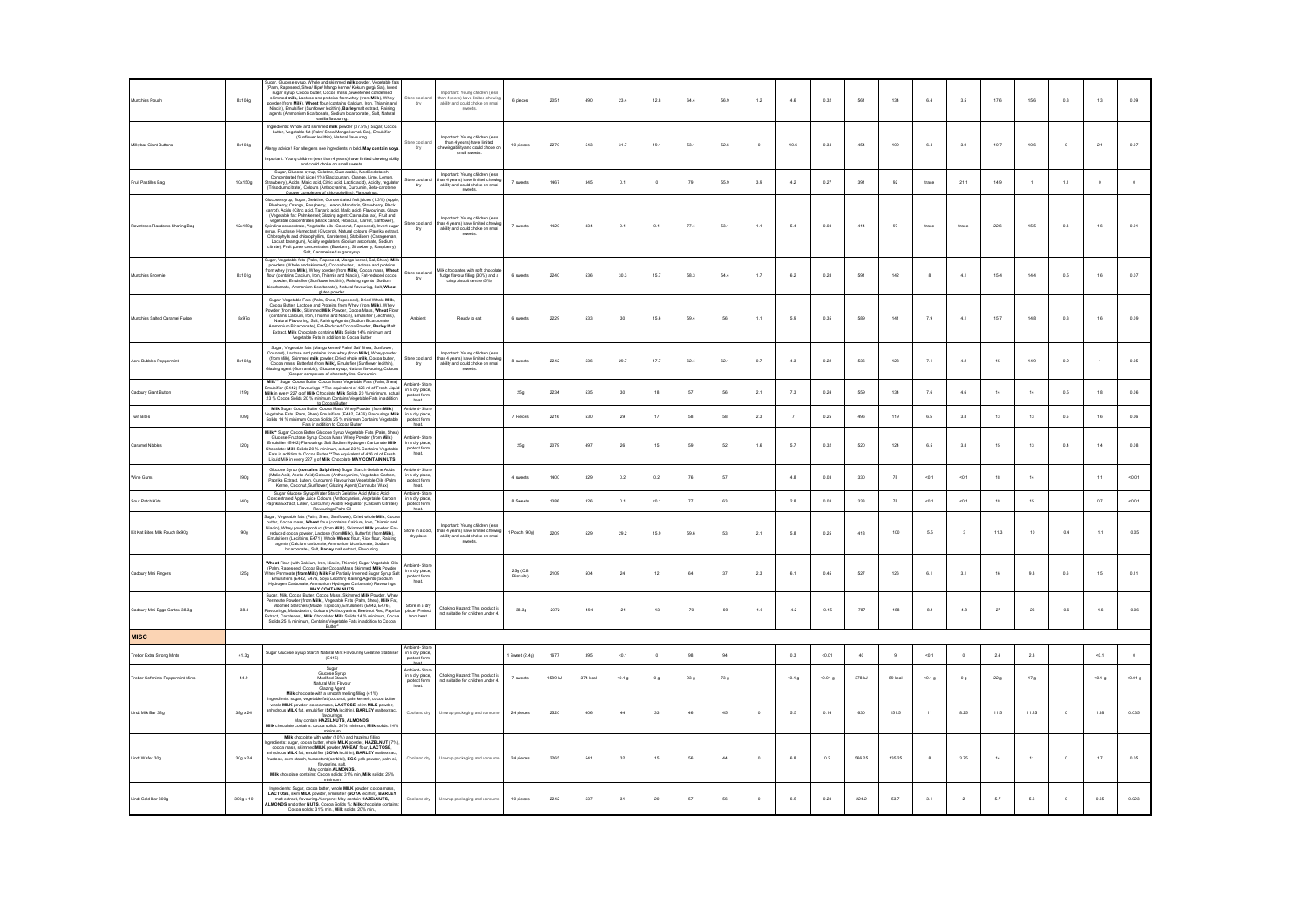| Munchies Pouch                           | 8x104g           | Sugar, Glucose syrup. Whole and skimmed millk powder. Veg<br>(Palm, Rapeseed, Shea/ Ilipe/ Mango kernel/ Kokum gurgi/ Sal), Inver<br>Functional materials and proteins from Milky and the state of the state of the state of the state of the state of the state of the state of the power of the power of the power of the power of the power of the power of the<br>Niacin), Emulsifier (Sunflower lecithin), Barley malt extract, Raising<br>agents (Ammonium bicarbonate, Sodium bicarbonate), Salt, Natural<br>vanila flavouring.                                                                          | itore cool and<br>dry                                           | Important: Young children (les<br>important. Foung cristem (ess<br>han 4 years) have limited chewin<br>ability and could choke on smal<br>sweets.    | 6 pieces                 | 2051    | 490      | 23.4     | 12.8   | 64.4            | 56.9            | $1.2\,$    | $4.6\,$           | 0.32    | 561    | 134     | $_{6.4}$     | 3.5                     | 17.6 | 15.6            | 0.3          | $1.3\,$ | 0.09      |
|------------------------------------------|------------------|-----------------------------------------------------------------------------------------------------------------------------------------------------------------------------------------------------------------------------------------------------------------------------------------------------------------------------------------------------------------------------------------------------------------------------------------------------------------------------------------------------------------------------------------------------------------------------------------------------------------|-----------------------------------------------------------------|------------------------------------------------------------------------------------------------------------------------------------------------------|--------------------------|---------|----------|----------|--------|-----------------|-----------------|------------|-------------------|---------|--------|---------|--------------|-------------------------|------|-----------------|--------------|---------|-----------|
| Milkybar Giant Buttons                   | 8x103g           | Ingredients: Whole and skimmed millk powder (37.5%), Sugar, Cocoa<br>butter, Vegetable fat (Palm/ Shea/Mango kernel/ Sal), Emulsifier<br>(Sunflower lecithin), Natural flavouring.<br>Allergy advice! For allergens see ingredients in bold. May contain soya.<br>Important: Young children (less than 4 years) have limited chewing ability<br>and could choke on small sweets.                                                                                                                                                                                                                                | itore cool and<br>dry                                           | mportant: Young children (les<br>than 4 years) have limited<br>ewingability and could choke o<br>small sweets.                                       | 10 pieces                | 2270    | 543      | 31.7     | 19.1   | 53.1            | 52.6            |            | 10.6              | 0.34    | 454    | 109     | $_{6.4}$     | 3.9                     | 10.7 | 10.6            | $\circ$      | $2.1\,$ | 0.07      |
| it Pastiles Bag                          | 10x150g          |                                                                                                                                                                                                                                                                                                                                                                                                                                                                                                                                                                                                                 | tore cool ar<br>dry                                             | Important: Young children (less<br>nan 4 years) have limited chewing<br>ability and could choke on small<br>sweets.                                  |                          | 1467    | 345      | 0.1      |        | 79              | 55.9            | 3.9        | 4.2               | 0.27    | 391    | 92      | trace        | 21.1                    | 14.9 |                 | 1.1          |         | $\circ$   |
| Rowntrees Randoms Sharing Bag            | 12x150g          | Glucose syrup, Sugar, Gelatine, Concentrated fruit juices (1.3%) (Apple<br>Blueberry, Orange, Raspberry, Lemon, Mandarin, Strawberry, Black<br>Buelonty, Urange, Raspoery, Lemon, Manazarin, Strawoery, Haiot<br>Carrot), Acids (Chris acid, Tartaric acid, Malic acid), Flavourings, Giaze<br>(Vegetable fat Pain kernet; Giazaring apert. Carracka axi, Fruth and<br>specific compet<br>Locust bean gum), Acidity regulators (Sodium ascorbate, Sodium<br>citrate), Fruit puree concentrates (Blueberry, Strawberry, Raspberry),<br>Salt, Caramelised sugar syrup.                                            | ore cool ar<br>dry                                              | Important: Young children (les-<br>important. Foung critician (less<br>han 4 years) have limited chewi<br>ability and could choke on smal<br>sweets. | 7 sweet                  | 1420    | 334      | 0.1      | 0.1    | 77.4            | 53.1            | 1.1        | 5.4               | 0.03    | 414    |         | trace        | trace                   | 22.6 | 15.5            | 0.3          | 1.6     | 0.01      |
| Munchies Brownie                         | 8x101g           | Sugar, Vegetable fats (Palm, Rapeseed, Mango kernel, Sal, Shea), Milk<br>powders (Whole and skirmend), Cocoa butler, Lactose and proteins<br>from whey (from Milk), Whey powder (from Milk), Cocoa mass, Wheat<br>flour (contains Calci<br>powder. Emulsifier (Sunflower lecithin). Raising agents (Sodium<br>bicarbonate, Ammonium bicarbonate), Natural flavouring, Salt, Wheat<br>aluten powder.                                                                                                                                                                                                             | itore cool and<br>dry                                           | lik chocolates with soft chocolati<br>fudge flavour filling (30%) and a<br>crisp biscuit centre (5%)                                                 | 6 sweet                  | 2240    | 536      | 30.3     | 15.7   | 58.3            | 54.4            | 1.7        | 6.2               | 0.28    | 591    | 142     |              | 4.1                     | 15.4 | 14.4            | 0.5          | 1.6     | 0.07      |
| Munchies Salted Caramel Fudge            | 8x97g            | Sugar, Vegetable Fats (Palm, Shea, Rapeseed), Dried Whole Millk,<br>Cocoa Butter, Lactose and Proteins from Whey (from Millk), Whey<br>Powder (from Millk), Skimmed Millk Powder, Cocoa Mass, Wheat Flou<br>(contains Calcium, Iron, Thiamin and Niacin), Emulsifier (Lecithins).<br>Natural Flavouring, Salt, Raising Agents (Sodium Bicarbonate,<br>Ammonium Bicarbonate), Fat-Reduced Cocoa Powder, Barley Malt<br>Extract, Milk Chocolate contains Milk Solds 14% minimum and<br>Vegetable Fats in addition to Cocoa Butter                                                                                 | Ambient                                                         | Ready to eat                                                                                                                                         | 6 sweets                 | 2229    | 533      | 30       | 15.6   | 59.4            | 56              | 1.1        | 5.9               | 0.35    | 589    | 141     | 7.9          | 4.1                     | 15.7 | 14.8            | 0.3          | 1.6     | 0.09      |
| Aero Bubbles Peccermint                  | 8x102g           | Sugar, Vegetable fats (Mango kernel/ Palm/ Sal/ Shea, Sunflower<br>Coconut). Lactose and proteins from whey (from Milk). Whey powder<br>(from Mik). Skimmed milk powder. Dried whole milk. Cocoa butter<br>Cocoa mass Butterfat (from Milk) Emulsifier (Sunflower lecitbin)<br>Cocoa mass, Buseriat (nom wark), Emissiner (Samower<br>Glazing agent (Gum arabic), Glucose syrup, Natural flavouri<br>(Copper complexes of chlorophyllins, Curcumin)<br>ring, Colo                                                                                                                                               | itore cool and                                                  | Important: Young children (less<br>han 4 years) have limited chewi<br>ability and could choke on small<br>sweets.                                    | 8 sweets                 | 2242    | 536      | 29.7     | 17.7   | 62.4            | 62.1            | 0.7        | 4.3               | 0.22    | 536    | 128     | 7.1          | 4.2                     | 15   | 14.9            | 0.2          |         | 0.05      |
| Cadbury Giant Button                     | 119g             | Milk** Sugar Cocoa Butter Cocoa Mass Vegetable Fats (Palm, Shea)<br>Emulsifier (E442) Flavourings ** The equivalent of 426 ml of Fresh Liquid<br>Milk in every 227 g of Milk Chocolate Milk Solids 20 % minimum, actual 23 % Cocoa Solids 20 % minimum Contains Vegetable Fats in addition<br>ains Vegetable Fats in additio                                                                                                                                                                                                                                                                                    | Ambient-Store<br>in a dry place,<br>protect forn<br>heat        |                                                                                                                                                      | 25g                      | 2234    | 535      | 30       | 18     | 57              | 56              | 2.1        | 7.3               | 0.24    | 559    | 134     | 7.6          | 4.6                     | 14   | 14              | 0.5          | 1.8     | 0.06      |
| Twirl Bites                              | 109g             | In Concors Putter<br>Milk Sugar Cocoa Butter Cocoa Mass Whey Powder (from Milk)<br>/egetable Fats (Palm, Shea) Emulsifiers (E442, E476) Flavourings Millk<br>Solids 14 % minimum Cocoa Solids 25 % minimum Contains Vegetable<br>Fats in addition to Cocoa Butter                                                                                                                                                                                                                                                                                                                                               | mhient, Stor<br>n a dry place,<br>protect forn<br>heat          |                                                                                                                                                      | 7 Pieces                 | 2216    | 530      | $29\,$   | $17\,$ | $^{\rm 58}$     | 58              | $2.3\,$    | $\overline{7}$    | 0.25    | 496    | 119     | $_{\rm 6.5}$ | $_{\rm 3.8}$            | 13   | $13\,$          | $_{\rm 0.5}$ | $1.6\,$ | $_{0.06}$ |
| Caramel Nibbles                          | 120g             | Milk** Sugar Cocoa Butter Glucose Syrup Vegetable Fats (Palm, Shea)<br>The Construction Construction of the Construction of the Construction Construction Construction Construction Construction Construction Construction Construction Construction Construction Construction Construction Construct<br>Liquid Milk in every 227 g of Milk Chocolate MAY CONTAIN NUTS                                                                                                                                                                                                                                          | mbiant, Ctru<br>in a dry place,<br>protect forn<br>heat         |                                                                                                                                                      | 25g                      | 2079    | 497      | $26\,$   | 15     | 59              | 52              | $1.6\,$    | 5.7               | 0.32    | 520    | 124     | $6.5\,$      | 3.8                     | 15   | $13\,$          | $0.4\,$      | $1.4\,$ | 0.08      |
| ine Gums                                 | 190g             | Glucose Syrup (contains Sulphites) Sugar Starch Gelatine Acids<br>(Malic Acid, Acetic Acid) Colours (Anthocyanins, Vegetable Carbon,<br>Paprika Extract, Lutein, Curcumin) Flavourings Vegetable Oils (Palm<br>Kernel, Coconut, Sunflower) Glazing Agent (Carnauba Wax)                                                                                                                                                                                                                                                                                                                                         | <b>Imbient</b> , Stoc<br>n a dry place,<br>protect form<br>heat |                                                                                                                                                      | 4 sweet                  | 1400    | 329      | 0.2      | 0.2    | 76              | 57              |            | 4.8               | 0.03    | 330    | 78      | $-0.1$       | $-0.1$                  | 18   | 14              |              | 1.1     | 0.01      |
| Sour Patch Kids                          | 140g             | Sugar Glucose Syrup Water Starch Gelatine Acid (Malic Acid)<br>Concentrated Apple Juice Colours (Anthocyanins, Vegetable Carbon<br>Paprika Extract, Lutein, Curcumin) Acidity Regulator (Calcium Citrates)<br>Flavourings Palm Oil                                                                                                                                                                                                                                                                                                                                                                              | mbient-Stor-<br>in a dry place<br>protect form<br>beat          |                                                                                                                                                      | 8 Sweets                 | 1386    | 326      | 0.1      | 40.1   | 77              | 63              |            | 2.8               | 0.03    | 333    | 78      | $-0.1$       | $-0.1$                  | 18   | 15              |              | 0.7     | 50.01     |
| Kit Kat Bites Mik Pouch 8x90g            | 90g              | Sugar, Vegetable fats (Palm, Shea, Sunflower), Dried whole Millk, Cocoa<br>butter, Cocoa mass, Wheat flour (contains Calcium, Iron, Thiamin and<br>Niacin), Whey powder product (from Millk), Skimmed Millk powder, Fat-<br>reduced cocoa powder. Lactose (from Milk). Butterfat (from Milk).<br>Emulsifiers (Lecithins, E471), Whole Wheat flour, Rice flour, Raising<br>agents (Calcium carbonate, Ammonium bicarbonate, Sodium<br>iusineis (Leourins, E471), vrible wireat ilou, Ni<br>agents (Calcium carbonate, Ammonium bicarbon<br>bicarbonate), Salt, Barley malt extract, Flav<br>ate, Sodium<br>ring. | Store in a cool<br>dry place                                    | Important: Young children (less<br>than 4 years) have limited chewing<br>ability and could choke on small<br>sweets.                                 | Pouch (90g)              | 2209    | 529      | 29.2     | 15.9   | 59.6            | 53              | 2.1        | 5.8               | 0.25    | 418    | 100     | 5.5          | $\overline{\mathbf{3}}$ | 11.3 | 10              | 0.4          | 1.1     | 0.05      |
| Cadbury Mini Fingers                     | 125g             | Wheat Flour (with Calcium, Iron, Niacin, Thiamin) Sugar Vegetable Oils<br>(Palm, Raceseed) Cocoa Butter Cocoa Mass Skimmed Milk Powder<br>um, ruspuscos, cocour contra l'actual contra del Sugar Syrup Salt<br>Emulsifiers (E442, E476, Soya Lecithin) Raising Agents (Sodium<br>Hydrogen Carbonate, Ammonium Hydrogen Carbonate) Flavourings<br>Hydrogen Carbonate, A<br><b>MAY CONTAIN NUTS</b>                                                                                                                                                                                                               | Ambient-Stor-<br>in a dry place,<br>protect form<br>heat.       |                                                                                                                                                      | $25g$ (C.8)<br>Biscuits) | 2109    | 504      | 24       | 12     | 64              | 27              | 2.3        | 6.1               | 0.45    | 527    | 126     | 6.1          | 3.1                     | 16   | 9.3             | 0.6          | 1.5     | 0.11      |
| Cadbury Mini Eggs Carton 38.3g           | 38.3             | Sugar, Milk, Cocoa Butter, Cocoa Mass, Ski<br>med Milk Powder Whe<br>Sugar, MIK, Cocoa Isuae, Cocoa Mass, Skimmea MIK, Prompton, Winey<br>Permatia Powder (from MIKIK), Vegetable Fats (Palm, Shna), MIKK Fat,<br>Modified Starches (Malze, Tappoca), Emultifilers (E442, E476),<br>Flavourings, Malbdeatrin<br>Solids 25 % minimum, Contains Vegetable Fats in addition to Cocoa<br>Butter"                                                                                                                                                                                                                    | Store in a dry<br>place. Protect<br>from heat.                  | .<br>Choking Hazard: This product i<br>ot suitable for children under 4                                                                              | 38.3g                    | 2072    | 494      | 21       | 13     | 70              | 69              | 1.6        | 4.2               | 0.15    | 787    | 188     | 8.1          | 4.8                     | 27   | 26              | 0.6          | $1.6$   | 0.06      |
| <b>MISC</b>                              |                  |                                                                                                                                                                                                                                                                                                                                                                                                                                                                                                                                                                                                                 |                                                                 |                                                                                                                                                      |                          |         |          |          |        |                 |                 |            |                   |         |        |         |              |                         |      |                 |              |         |           |
| Trebor Extra Strong Mints                | 41.3g            | Sugar Glucose Syrup Starch Natural Mint Flavouring Gelatine Stabilis<br>(E415)                                                                                                                                                                                                                                                                                                                                                                                                                                                                                                                                  | mbient-Stor<br>in a dry place<br>protect forn<br>heat.          |                                                                                                                                                      | Sweet (2.4g              | 1677    | 395      | $-0.1$   |        | 98              | 94              |            | 0.3               | $-0.01$ | 40     |         | $-0.1$       |                         | 2.4  | $2.3\,$         |              | $-0.1$  | $\circ$   |
| <b>Trebor Softmints Peppermint Mints</b> | 44.9             | Suga<br>Glucose Syrup<br>Modified Starch<br>Natural Mint Flavour<br>Glazing Agent                                                                                                                                                                                                                                                                                                                                                                                                                                                                                                                               | Ambient-Sto<br>in a dry place,<br>protect form<br>heat          | Choking Hazard: This product is<br>not suitable for children under 4.                                                                                | 7 sweets                 | 1589 kJ | 374 kcal | $<0.1$ g | 0 g    | 93 <sub>g</sub> | $73\,\mathrm g$ |            | 40.1 <sub>g</sub> | 50.01 g | 378 kJ | 89 kcal | 50.1 g       | 0 g                     | 22g  | 17 <sub>g</sub> |              | $-0.1g$ | 40.01 g   |
| Lindt Mik Bar 38g                        | 38g x 24         | Milk chocolate with a smooth methra filling (41%)<br>hyredients: sugar, vegetable fat (coconut, path kernel), cocoa butte<br>whole MILK powder, cocoa mass, LACTOSE, skim MILK powder,<br>anhydrous MILK fat, emulsifier (SOYA lecithin), BARLEY malt extract,<br>May contain HAZELNUTS, ALMONDS.<br>Milk chocolate contains: cocoa solds: 30% minimum, Milk solds: 14%<br>minimum                                                                                                                                                                                                                              | Cool and dry                                                    | Unwrap packaging and consume                                                                                                                         | 24 pieces                | 2520    | 606      | $44\,$   | 33     | $46\,$          | 45              | $^{\circ}$ | 5.5               | 0.14    | 630    | 151.5   | 11           | 8.25                    | 11.5 | 11.25           | $\,$ 0 $\,$  | 1.38    | 0.035     |
| Lindt Wafer 30g                          | $30g \times 24$  | Milk chocolate with wafer (10%) and hazelnut filing<br>Ingredients: sugar, cocoa butter, whole MILK powder, HAZELNUT (7%),<br>cocoa mass, skimmed MILK powder, WHEAT flour, LACTOSE<br>cocoa mass, sixmmed MLK powder, WHEAT hour, LACTUSE,<br>anhydrous MLK fat, emulsifier (SOYA lecithin), BARLEY malt extract,<br>fructose, corn starch, humectant (sorbitol), EGG yolk powder, palm oil,<br>flavouring, sat<br>May contain ALMONDS.<br>Milk chocolate contains: Cocoa solids: 31% min, Milk solids: 25%<br>minimum                                                                                         | Cool and dry                                                    | Unwrap packaging and consume                                                                                                                         | 24 pieces                | 2265    | 541      | $_{32}$  | 15     | 56              | 44              | $^{\circ}$ | 6.8               | 0.2     | 566.25 | 135.25  |              | 3.75                    | 14   | 11              | $\circ$      | $1.7\,$ | 0.05      |
| Lindt Gold Bar 300g                      | $300g \times 10$ | Ingredients: Sugar, cocoa butter, whole MILK powder, cocoa mass,<br>LACTOSE, skim MILK powder, emulsifier (SOYA lecithin), BARLEY<br>malt extract, flavouring Allergens: May contain HAZELNUTS,<br>ALMONDS and other NUTS. Cocoa Solids %: Milk chocolate contains:<br>Cocoa solids: 31% min., Milk solids: 20% min.,                                                                                                                                                                                                                                                                                           |                                                                 | Cool and dry Unwrap packaging and consume                                                                                                            | 10 pieces                | 2242    | 537      | 31       | 20     | 57              | 56              | $\theta$   | 6.5               | 0.23    | 224.2  | 53.7    | 3.1          | $\overline{2}$          | 5.7  | 5.6             | $\Omega$     | 0.65    | 0.023     |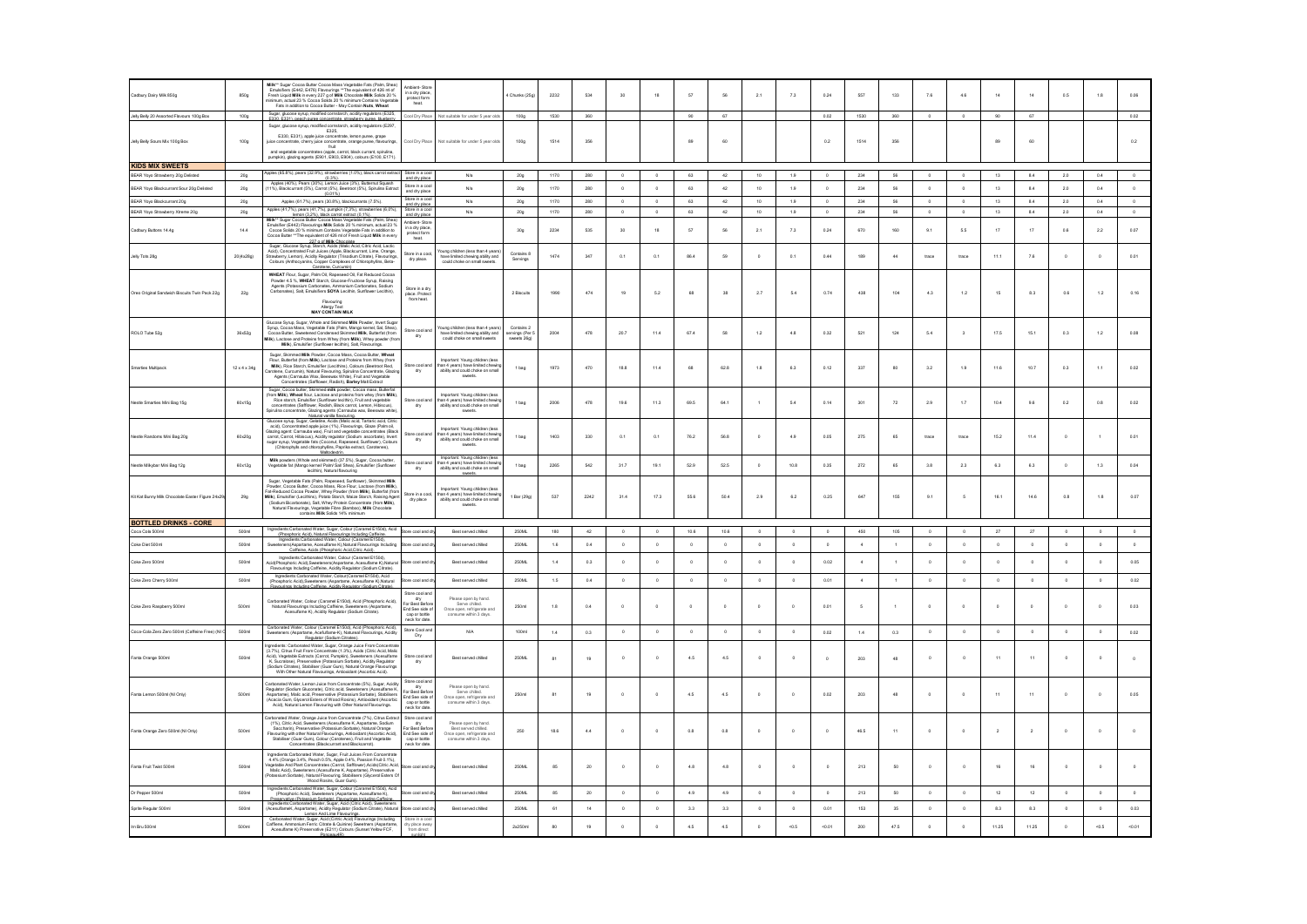| Cadbury Dairy Milk 850g                                                | 850g                     | Milk** Sugar Cocoa Butter Cocoa Mass Vegetable Fats (Palm, Shea)<br>Emplatifiers (E442, E476) Flavourings **The equivalent of 426 mid 1<br>Free h Liquid Milk in every 227 g of Milk Chocolate Milk Solds 20%<br>minimum, actual 23 % C                                                                                                                                                                                                                 | <b>Ambient, Stor</b><br>in a dry place<br>protect form<br>$\frac{\text{protec}}{\text{heat}}$ .          |                                                                                                                    | 4 Chunks (25c                              | 2232         | 534        | 30                 | 18                 | 57         | 56          | 2.1                    | 7.3            | 0.24                  | 557            | 133                | 7.6                      | 4.6                     | 14             | 14             | 0.5         | 18           | 0.06               |
|------------------------------------------------------------------------|--------------------------|---------------------------------------------------------------------------------------------------------------------------------------------------------------------------------------------------------------------------------------------------------------------------------------------------------------------------------------------------------------------------------------------------------------------------------------------------------|----------------------------------------------------------------------------------------------------------|--------------------------------------------------------------------------------------------------------------------|--------------------------------------------|--------------|------------|--------------------|--------------------|------------|-------------|------------------------|----------------|-----------------------|----------------|--------------------|--------------------------|-------------------------|----------------|----------------|-------------|--------------|--------------------|
| Jely Bely 20 Assorted Flavours 100g Box                                | 100g                     | Sugar, glucose syrup, modified corristanch, acidity regulators (E325)<br>E330: E331), reach nune concentrate, strawberry nune, hiueherry                                                                                                                                                                                                                                                                                                                |                                                                                                          | Cool Dry Place Not suitable for under 5 year olds                                                                  | 100g                                       | 1530         | $360\,$    |                    |                    | 90         | 67          |                        |                | $0.02\,$              | 1530           | 360                | $\circ$                  | $\circ$                 | $90\,$         | $67\,$         |             |              | 0.02               |
| Jely Bely Sours Mix 100g Box                                           | 100g                     | Sugar, glucose syrup, modified cornstarch, acidity regulators (E297,<br>Sugar, glucose syrup, modified correlater.h, acidity regulators (E297,<br>E330, E331), apple juice concertate, lemon pures, grape<br>dos concentrate, christypice concertate, crange pures, flavourings,<br>and vegetable concentrates                                                                                                                                          | Cool Dry Place                                                                                           | Not suitable for under 5 year olds                                                                                 | 100 <sub>g</sub>                           | 1514         | 356        |                    |                    | 89         | 60          |                        |                | 0.2                   | 1514           | 356                |                          |                         | 89             | $_{60}$        |             |              | 0.2                |
|                                                                        |                          | pumpkin), glazing agents (E901, E903, E904), colours (E100, E171)                                                                                                                                                                                                                                                                                                                                                                                       |                                                                                                          |                                                                                                                    |                                            |              |            |                    |                    |            |             |                        |                |                       |                |                    |                          |                         |                |                |             |              |                    |
| <b>KIDS MIX SWEETS</b>                                                 |                          | Apples (65.8%), pears (32.9%), strawberries (1.0%), black carrot extract Store in a cool                                                                                                                                                                                                                                                                                                                                                                |                                                                                                          |                                                                                                                    |                                            |              |            |                    |                    |            |             |                        |                |                       |                |                    |                          |                         |                |                |             |              |                    |
| BEAR Yovo Strawberry 20g Delisted                                      | 20a                      | (0.3%).<br>Apples (40%), Pears (30%), Lemon Juice (3%), Butternut Squash                                                                                                                                                                                                                                                                                                                                                                                | and dry place                                                                                            | N/a                                                                                                                | 20g                                        | 1170         | 280        | $\Omega$           | $\circ$            | 63         | 42          | 10                     | 1.9            | $\circ$               | 234            | 56                 | $\Omega$                 | $\theta$                | 13             | 8.4            | 2.0         | 0.4          | $\circ$            |
| BEAR Yovo Blackcurrant Sour 20g Delisted<br>BEAR Yoyo Blackcurrant 20g | 20a<br>20g               | 11%), Blackcurrant (5%), Carrot (5%), Beetroot (5%), Spirulina Extract<br>(0.01%<br>Apples (61.7%), pears (30.8%), blackcurrants (7.5%).                                                                                                                                                                                                                                                                                                                | Store in a cor<br>and dry place<br>Store in a co                                                         | N/a<br>N/a                                                                                                         | 20g<br>20g                                 | 1170<br>1170 | 280<br>280 | $\circ$<br>$\circ$ | $\circ$<br>$\circ$ | 63<br>63   | 42<br>42    | 10<br>10 <sup>10</sup> | 1.9<br>1.9     | $^{\circ}$<br>$\circ$ | 234<br>234     | 56<br>56           | $^{\circ}$<br>$^{\circ}$ | $\circ$<br>$\circ$      | 13<br>13       | 8.4<br>8.4     | 2.0<br>2.0  | 0.4<br>0.4   | $\circ$<br>$\circ$ |
|                                                                        |                          |                                                                                                                                                                                                                                                                                                                                                                                                                                                         | and dry place<br>Store in a coo                                                                          |                                                                                                                    |                                            | 1170         | 280        | $\sim$             | $\sim$             | 63         | 42          | 10                     |                | $\sim$                | 234            | 56                 | $\Omega$                 | $\theta$                | 13             |                |             | 0.4          | $\Omega$           |
| BEAR Yoyo Strawberry Xtreme 20g                                        | 20g                      |                                                                                                                                                                                                                                                                                                                                                                                                                                                         |                                                                                                          | N/a                                                                                                                | 20g                                        |              |            |                    |                    |            |             |                        | 1.9            |                       |                |                    |                          |                         |                | 8.4            | 2.0         |              |                    |
| Cadbury Buttons 14.4g                                                  | 14.4                     | Apples (41,7%), pears (41,7%), pumpiin (7,3%), strawberries (6,0%),<br>Milk** Sugar Cocoa Butter Cocoa Mass Cognetic Mann (1,2%), beach control with the Cocoa Mass Cogneticle Fast (Paim, Shea)<br>Milk** Sugar Cocoa Butter Coco<br>227 g of Milk Chocolate<br>Sugar, Glucose Syrup, Starch, Acids (Malic Acid, Citric Acid, Lactic                                                                                                                   | mbient-Stor<br>in a dry place<br>protect form<br>heat                                                    |                                                                                                                    | 30g                                        | 2234         | 535        | 30                 | 18                 | 57         |             | 2.1                    | 7.3            | 0.24                  | 670            | 160                | 9.1                      | 5.5                     | 17             | $17\,$         | 0.6         | $^{22}$      | 0.07               |
| Jelly Tots 28g                                                         | 20(4x28g)                | Acid). Concentrated Fruit Juices (Apple, Blackcurrant, Lime, Orange<br>Strawberry, Lemon), Acidity Requisitor (Trisodium Citrate), Flav<br>Colours (Anthocyanins, Copper Complexes of Chlorophylins, Beta<br>Carotene Curcumin)                                                                                                                                                                                                                         | tore in a coo<br>dry place.                                                                              | oung children (less than 4 years<br>have limited chewing ability and<br>could choke on small sweets.               | Contains 8<br>Servings                     | 1474         | 347        | 0.1                | 0.1                | 86.4       | 59          | $\circ$                | 0.1            | 0.44                  | 189            | 44                 | trace                    | trace                   | 11.1           | 7.6            |             |              | 0.01               |
| Oreo Original Sandwich Biscuits Twin Pack 22g                          | $_{\rm 22g}$             | WHEAT Flour, Sugar, Palm Oil, Rapeseed Oil, Fat Reduced Cocoa<br>Powder 4.5%, WHEAT Starch, Glucose-Fructose Syrup, Raising<br>Agents (Potassium Carbonates, Ammonium Carbonates, Sodium<br>Carbonates), Salt, Emulsifiers SOYA Lecithin, Sunflower Lecithin),<br>Flavouring<br>Allergy Text<br><b>MAY CONTAIN MILK</b>                                                                                                                                 | Store in a dry<br>place. Protect<br>from heat.                                                           |                                                                                                                    | 2 Biscuits                                 | 1990         | 474        | 19                 | 5.2                | 68         | 38          | 2.7                    | 5.4            | 0.74                  | 438            | 104                | 4.3                      | $1.2\,$                 | 15             | 8.3            | 0.6         | 12           | 0.16               |
| ROLO Tube 52g                                                          | 36x52g                   | Glucose Syrup, Sugar, Whole and Skimmed Millk Powder, Invert Suga<br>Syrup, Cocoa Mass, Vegetable Fats (Palm, Mango kernel, Sal, Shea)<br>Cocoa Butter, Sweetened Condensed Skimmed Milk, Butterfat (from<br>Ik), Lactose and Proteins from Whey (from Milk), Whey powder (fro<br>Milk), Emulsifier (Sunflower lecithin), Salt, Flavourings.                                                                                                            | Store cool and<br>dry                                                                                    | oung children (less than 4 years<br>have limited chewing ability and<br>could choke on small sweets                | Contains 2<br>ervings (Per !<br>sweets 26g | 2004         | 478        | 20.7               | 11.4               | 67.4       | 58          | 1.2                    | 4.8            | 0.32                  | 521            | 124                | 5.4                      | $\overline{\mathbf{3}}$ | 17.5           | 15.1           | 0.3         | 12           | 0.08               |
| Smarties Multipack                                                     | $12 \times 4 \times 34g$ | Sugar, Skimmed Milk Powder, Cocoa Mass, Cocoa Butter, Wheat<br>Flour, Butterfat (from Milk), Lactose and Proteins from Whey (from<br>Milk), Rice Starch, Emulsifier (Lecithins), Colours (Beetroot Red,<br>otene, Curcumin), Natural Flavouring, Spirulina Concentrate, Glazi<br>Agents (Carnauba Wax, Beeswax White), Fruit and Vegetable<br>Concentrates (Safflower, Radish), Barley Malt Extract                                                     | Store cool and<br>dry                                                                                    | Important: Young children (less<br>than 4 years) have limited chewin<br>ability and could choke on sma<br>sweets.  | 1 bag                                      | 1973         | 470        | 18.8               | 11.4               | 68         | 62.8        | 1.8                    | 6.3            | 0.12                  | 337            | 80                 | 3.2                      | 1.9                     | 11.6           | 10.7           | 0.3         | $1.1$        | 0.02               |
| Nestle Smarties Mini Bag 15g                                           | 60x15g                   | Sugar, Cocoa butter, Skimmed milik powder, Cocoa mass, Butterfalt<br>from Milik), Wheat four, Lactose and proteins from whey (from Milik).<br>Rice starch, Emiddier (Sumfoure heithin), Fruit and vegetable<br>concentrates (Safflower,<br>Natural vanilla flavouring                                                                                                                                                                                   | dry                                                                                                      | Important: Young children (less<br>han 4 years) have limited chewis<br>ability and could choke on small<br>sweets. | 1 bag                                      | 2006         | 478        | 19.6               | 11.3               | 69.5       | 64.1        |                        | 6.4            | 0.14                  | 301            | $\scriptstyle{72}$ | 2.9                      | 1.7                     | 10.4           | 9.6            | 0.2         | 0.8          | 0.02               |
| Nestle Randoms Mini Bag 20g                                            | 60x20g                   | Glucose syrup, Sugar, Gelatne, Acids (Malic acid, Tartaric acid, Citric<br>acid), Concentrated apple juice (1%), Flavourings, Glaze (Palm oil,<br>Glazing agent: Carnauba wax), Fruit and vegetable concentrates (Black<br>carrot, Carrot, Hibiscus), Acidity regulator (Sodium ascorbate), Invert<br>sugar syrup, Vegetable fats (Coconut, Rapeseed, Sunflower), Colours<br>(Chlorochylls and chlorochyllins, Paprika extract, Carotenes).<br>Maltoder | tore cool and<br>dry                                                                                     | Important: Young children (less<br>han 4 years) have limited chewin<br>ability and could choke on sma<br>curveto   | 1 bag                                      | 1403         | 330        | 0.1                | 0.1                | 76.2       | 56.8        | $\,$ 0                 | 4.9            | 0.05                  | 275            | 65                 | trace                    | trace                   | 15.2           | 11.4           | $\circ$     | $\mathbf{1}$ | 0.01               |
| Nestle Milkybar Mini Bag 12g                                           | 60x12g                   | Milk powders (Whole and skimmed) (37.5%). Sugar, Cocoa butter<br>Vegetable fat (Mango kernel/ Palm/ Sal/ Shea), Emulsifier (Sunflower<br>lecithin), Natural flavouring                                                                                                                                                                                                                                                                                  | Store cool and<br>dry                                                                                    | Important: Young children (less<br>than 4 years) have limited chev<br>ability and could choke on small             | 1 bag                                      | 2265         | 542        | 31.7               | 19.1               | 52.9       | 52.5        | $^{\circ}$             | 10.8           | 0.35                  | 272            | 65                 | 3.8                      | 2.3                     | 6.3            | 6.3            | $\circ$     | 13           | 0.04               |
| Kit Kat Bunny Mik Chocolate Easter Figure 24x29                        | 29g                      | Sugar, Vegetable Fats (Palm, Rapeseed, Sunflower), Skimmed Milli<br>Powder, Cocoa Butter, Cocoa Marx, Pinc, Phone L.<br>Stapar, Vegetable Fats (Paim, Rapeseed, Surforwer, J. Simmere Millie, Paim, J. Stapar, V. Stapar, Cocoa Russe, Rice Flour, Lacbse (from Millie, J. Millie, Paim, Millie, Paim, Millie, Paim, Millie, Paim, Millie, Paim, Milli<br>contains Milk Solds 14% minimum                                                               | Store in a cod<br>dry place                                                                              | Important: Young children (less<br>han 4 years) have limited chewing<br>ability and could choke on small<br>sweets | 1 Bar (29g)                                | 537          | 2242       | $31.4\,$           | 17.3               | $_{55.6}$  | 50.4        | $2.9\,$                | 6.2            | 0.25                  | 647            | 155                | 9.1                      | $\,$ 5                  | 16.1           | $_{\rm 14.6}$  | 0.8         | $1.8\,$      | 0.07               |
| <b>BOTTLED DRINKS - CORE</b>                                           |                          |                                                                                                                                                                                                                                                                                                                                                                                                                                                         |                                                                                                          |                                                                                                                    |                                            |              |            |                    |                    |            |             |                        |                |                       |                |                    |                          |                         |                |                |             |              |                    |
| Coca Cola 500ml                                                        | 500ml                    | Ingredients:Carbonated Water, Sugar, Colour (Caramel E150d), Acid                                                                                                                                                                                                                                                                                                                                                                                       | Store cool and dr                                                                                        | Best served chilled                                                                                                | 250ML                                      | 180          | 42         | $\circ$            | $\circ$            | 10.6       | 10.6        | $\circ$                | $\mathbf{a}$   | $\circ$               | 450            | 105                | $\circ$                  | $^{\circ}$              | 27             | $\sqrt{27}$    | $\,$ 0 $\,$ | $\circ$      | $\theta$           |
| Color Diet 500ml                                                       | 500ml                    | dents: Jantonaste waser, sugar, colour (caramel E-1500)<br>(Phoseboric Acid). Natural Flavourings Including Caffeine<br>Ingredients: Carbonated Water, Colour (Caramel E1500),<br>teners (Aspartame, Acesulfame K), Natural Flavourings<br>tings Incl                                                                                                                                                                                                   | the cool and do                                                                                          | <b>Rest served chiled</b>                                                                                          | 250M                                       | 1.6          | 0.4        | $\sim$             | $\sim$             | $\theta$   | $\theta$    | $\theta$               | $\Omega$       | $\sim$                | $\mathbf{A}$   | $\overline{1}$     | $\circ$                  | $\sim$                  | $\sim$         | $\sim$         | $\circ$     | $\Omega$     | $\theta$           |
| Coke Zero 500ml                                                        | 500ml                    | Ingredients Carbonated Water, Colour (Caramel E150d)<br>greuenis.Carbonaieu waler, Colour (Caramiere rood),<br>osphoric Acid),Sweeteners (Aspartame, Acesulfame K),Na<br>urings Including Caffeine, Acidity Regulator (Sodium Citrati                                                                                                                                                                                                                   | re cool and d                                                                                            | Best served chilled                                                                                                | 250M                                       | 1.4          | 0.3        | $\circ$            | $\circ$            | $\circ$    | $\circ$     | $\circ$                | $\circ$        | 0.02                  | $\mathbf{A}$   |                    | $\circ$                  | $\circ$                 | $\circ$        | $\circ$        | $\circ$     | $\circ$      | $0.05\,$           |
| ke Zero Cherry 500m                                                    | 500ml                    | Ingredients:Carbonated Water, Colour(Caramel E150d), Acid<br>(Phosphoric Acid),Sweeteners (Aspartame, Acesuffame K),Natural<br>lavourings Including Caffeine, Acidity Regulator (Sodium Citrate                                                                                                                                                                                                                                                         | re cool and                                                                                              | Best served chiled                                                                                                 | 250ML                                      | $1.5\,$      | $0.4\,$    | $\circ$            | $\circ$            | $\circ$    | $\,$ 0 $\,$ | $\,$ 0 $\,$            | $\,$ 0 $\,$    | 0.01                  | $\overline{4}$ | $\,$ 1 $\,$        | $\,$ 0 $\,$              | $\circ$                 | $\,$ 0         | $\circ$        | $\,$ 0 $\,$ | $\circ$      | $_{0.02}$          |
| Coke Zero Raspberry 500ml                                              | 500ml                    | d Water, Colour (Caramel E150d), Acid (Phosphoric Acid),<br>Natural Flavourings Including Caffeine, Sweeteners (Aspartame,<br>Acesulfame K), Acidity Regulator (Sodium Citrate).                                                                                                                                                                                                                                                                        | Store cool and<br>dry<br>or Best Befor<br>ind See side o<br>cap or bottle<br>neck for date.              | Please open by hand.<br>Serve chiled.<br>Once open, refrigerate and<br>consume within 3 days.                      | 250ml                                      | 1.8          | 0.4        | $\circ$            |                    | $\circ$    | $\circ$     | $^{\circ}$             |                | 0.01                  |                |                    |                          | $\circ$                 |                |                |             |              | 0.03               |
| Coca-Cola Zero Zero 500ml (Caffeine Free) (NI                          | 500ml                    | Carbonated Water, Colour (Caramel E150d), Acid (Phosphoric Acid),<br>Weeteners (Aspartame, Acefulfame-K), Natureal Flavourings, Acidity<br>Regulator (Sodium Citrates).                                                                                                                                                                                                                                                                                 | Store Cool and<br>Dry                                                                                    | N/A                                                                                                                | 100ml                                      | 1.4          | 0.3        | $\circ$            | $\circ$            | $^{\circ}$ | $\circ$     | $^{\circ}$             | $\circ$        | 0.02                  | 1.4            | 0.3                | $\circ$                  | $\circ$                 | $\circ$        | $\circ$        | $\circ$     | $\circ$      | 0.02               |
| Fanta Orange 500ml                                                     | 500ml                    | noredients: Carbonated Water, Sugar, Orange Juice From Concentrat<br>3.7%). Citrus Fruit From Concentrate (1.3%). Acids (Citric Acid. Male<br>on, San Maria Charles (Carrot, Pumpkin), Sweeteners (Acesulfame), Vegetable Extracts (Carrot, Pumpkin), Sweeteners (Acesulfame)<br>K., Sucralose), Preservative (Potassium Sorbate), Acidty Regulator<br>(Sodium Citrates), Stabilis<br>With Other Natural Flavourings, Antioxidant (Ascorbic Acid).      | Store cool and<br>dry                                                                                    | Best served chilled                                                                                                | 250ML                                      | 81           | 19         | $\circ$            | $\circ$            | 4.5        | 4.5         | $\mathbb O$            | $\circ$        | $\circ$               | 203            | 48                 | $^{\circ}$               | $\circ$                 | 11             | 11             | $\circ$     | $\,$ 0       |                    |
| Fanta Lemon 500ml (NI Only)                                            | 500ml                    | rbonated Water, Lemon Juice from Concentrate (5%), Sugar, Acidt<br>.arronatea water, Lemon Juice from Consertrate (3%), Sugar, Aciaty<br>Regulator (Sodium Gluconate), Citric acid, Sweeteners (Acesulfame K,<br>Aspartame), Malic acid, Sweeteners (Acesulfame K,<br>(Acacia Gum, Glycerol Esters of Wood                                                                                                                                              | Store cool and<br>ouse cust and<br>dry<br>or Best Befo<br>ind See side<br>cap or bottle<br>neck for date | Please open by hand.<br>Serve chilled.<br>Once open, refrigerate an<br>consume within 3 days.                      | 250ml                                      | 81           | 19         | $\circ$            | $\circ$            | $4.5\,$    | 4.5         | $^{\circ}$             | $\circ$        | 0.02                  | 203            | 48                 | $^{\circ}$               | $\circ$                 | 11             | 11             | $\sim$      | $\Omega$     | 0.05               |
| Fanta Orange Zero 500ml (NI Only)                                      | 500ml                    | Carbonated Water, Orange Juice from Concentrate (7%), Citrus Estractive (1%), Citrus Acti, Sweeteners (Acessiltame K, Aceptatme, Scolari Saccharin), Preservative (Potassium Scribate), Natural Crange Ekvouring with other N                                                                                                                                                                                                                           | štore cool an<br>dry<br>or Best Befor<br>Ind See side o<br>cap or bottle<br>neck for date.               | Best served chiled.<br>Once open, refrigerate and<br>consume within 3 days.                                        | 250                                        | 18.6         | $4.4\,$    | $\circ$            | $\circ$            | $_{0.8}$   | 0.8         | $^{\circ}$             | $\circ$        | $^{\circ}$            | 46.5           | $11\,$             | $^{\circ}$               | $\circ$                 | $\overline{2}$ | $\overline{2}$ | $\circ$     | $\circ$      |                    |
| Fanta Fruit Twist 500ml                                                | 500ml                    | Ingredients:Carbonated Water, Sugar, Fruit Juices From Concentrate<br>4.4% (Orange 3.4%, Peach 0.5%, Apple 0.4%, Passion Fruit 0.1%),<br>egetable And Plant Concentrates (Carrot, Safflower) Acids Citric Acid<br>Malic Acid). Sweeteners (Acesulfame K. Aspartame). Preservative<br>stassium Sorbate), Natural Flavouring, Stabilisers (Glycerol Esters Of<br>Wood Rosins, Guar Gum).                                                                  | ore cool and dr                                                                                          | Best served chilled                                                                                                | 250ML                                      | 85           | 20         | $\circ$            | $\circ$            | 4.8        | 4.8         | $\circ$                | $\circ$        | $\circ$               | 213            | 50                 | $\circ$                  | $\circ$                 | 16             | 16             | $\circ$     | $^{\circ}$   | $\circ$            |
| Dr Pepper 500ml                                                        | 500ml                    | Ingredients:Carbonated Water, Sugar, Colour (Caramel E150d), Acid<br>(Phosphoric Acid). Sweeteners (Aspartame. Acesuffame K).                                                                                                                                                                                                                                                                                                                           | ore cool and dri                                                                                         | Best served chiled                                                                                                 | 250ML                                      | 85           | 20         | $\overline{0}$     | $\circ$            | 4.9        | 4.9         | $^{\circ}$             | $\overline{0}$ | $\circ$               | 213            | 50                 | $^{\circ}$               | $\circ$                 | 12             | 12             | $^{\circ}$  | $\circ$      | $\circ$            |
| Sprite Regular 500ml                                                   | 500ml                    | (Prosenvative Michael Schweeders) (Magnatine, Acessiumne N.)<br>Prosenvative (Polassium Sorbate). Flavourings Including Caffeine<br>Ingredients:Carbonated Water, Sugar, Acid (Citiro Acid), Sweeteners<br>(AcesuffameK, Aspartame),                                                                                                                                                                                                                    | ore cool and dr                                                                                          | Best served chilled                                                                                                | 250ML                                      | 61           | 14         | $\circ$            | $^{\circ}$         | 3.3        | 3.3         | $^{\circ}$             | $\circ$        | 0.01                  | 153            | 35                 | $^{\circ}$               | $\circ$                 | 8.3            | 8.3            | $\circ$     | $^{\circ}$   | 0.03               |
| Irn Bru 500ml                                                          | 500ml                    | <b>Lemon And Lime Flavourings</b><br>Carbonated Water, Sugar, Acid (Cirino Acidi Flavourings (Including<br>Caffiene, Ammonium Ferric Citrate & Quinine) Sweetners (Aspartam<br>Acesulfame K) Preservative (E211) Colours (Sunset Yellow FCF,                                                                                                                                                                                                            | ore in a c<br>y place awa<br>rom direct                                                                  |                                                                                                                    | 2x250ml                                    | 80           | 19         | $\circ$            | $\circ$            | 4.5        | 4.5         | $^{\circ}$             | $-0.5$         | $-0.01$               | 200            | 47.5               | $^{\circ}$               | $\Omega$                | 11.25          | 11.25          | $\circ$     | $-0.5$       | 50.01              |
|                                                                        |                          |                                                                                                                                                                                                                                                                                                                                                                                                                                                         |                                                                                                          |                                                                                                                    |                                            |              |            |                    |                    |            |             |                        |                |                       |                |                    |                          |                         |                |                |             |              |                    |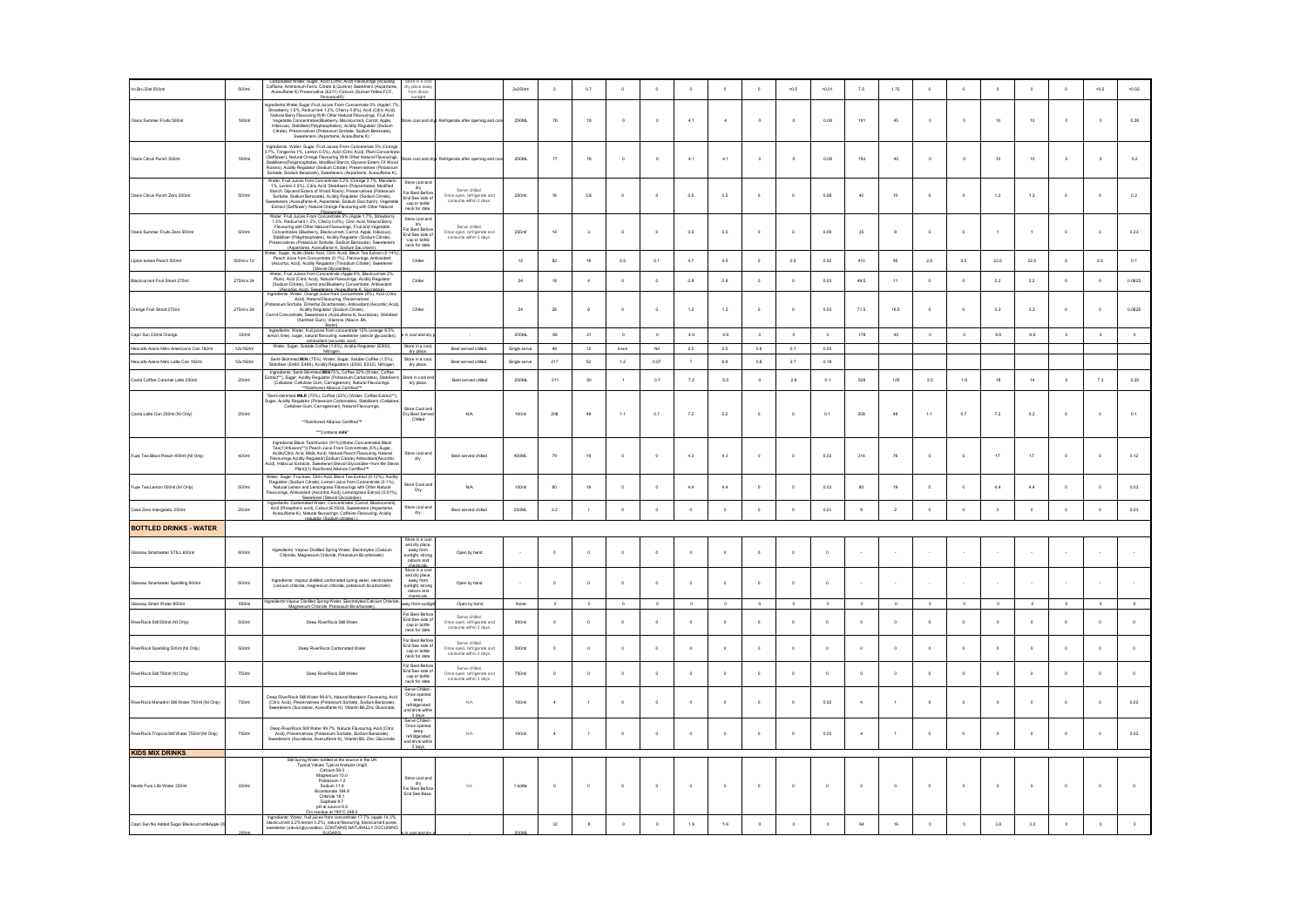| Irn Bru Diet 500ml                             | 500ml      | ated Water, Sugar, Acid (Cirtric Acid) Flavourings (Includin<br>Caffiene An<br>Cumbun Ferric Citrate & Quinine) Sweetners (Inspirantiene, Ammonium Ferric Citrate & Quinine) Sweetners (Aspartam<br>Acesufame K) Preservative (E211) Colours (Surset Yellow FCF,<br>Preservative (E211) Colours (Surset Yellow FCF,                                                                                                                                                                               | ry place aw:<br>from direct                                                                   |                                                                       | 2x250ml      | $\overline{\mathbf{3}}$ | 0.7         | $\circ$              | $\circ$     | $\,$ 0     | $\circ$      | $\,$ 0        | $-0.5$   | $-0.01$      | 7.5            | 1.75        | $\circ$     | $\circ$ | $\circ$    | $\circ$      | $\circ$     | < 0.5       | $-0.02$   |
|------------------------------------------------|------------|---------------------------------------------------------------------------------------------------------------------------------------------------------------------------------------------------------------------------------------------------------------------------------------------------------------------------------------------------------------------------------------------------------------------------------------------------------------------------------------------------|-----------------------------------------------------------------------------------------------|-----------------------------------------------------------------------|--------------|-------------------------|-------------|----------------------|-------------|------------|--------------|---------------|----------|--------------|----------------|-------------|-------------|---------|------------|--------------|-------------|-------------|-----------|
| Oasis Summer Fruits 500ml                      | 500ml      | ngredients: Water. Sugar. Fruit Juices From Concentrate 5% (Apple 1.7%<br>greants: wwater.Sugar-trut utaces + from Concentrate to to (Apple 1: The State State State State State State National Water Hammel Proventries (Burelliney Finovaring State State State State State State State State State St                                                                                                                                                                                          |                                                                                               | ore cool and dryl. Refrigerate after opening and co                   | 250ML        | ${\bf 76}$              | 18          | $\circ$              | $\circ$     | 4.1        | $\ddot{a}$   | $\,$ 0 $\,$   | $\circ$  | 0.08         | 191            | 45          | $\mathbb O$ | $\circ$ | 10         | 10           | $\circ$     | $\circ$     | $_{0.28}$ |
| Oasis Citrus Punch 500ml                       | 500m       | Ingredients: Water, Sugar, Fruit Juices From Concentrate 5% (Orange<br>3.7%, Tangerine 1%, Lemon 0.5%), Acid (Ciriuc Acid), Plant Concentrate<br>(Saffiower), Natural Orange Flavouring With Other Natural Flavourings,<br>Stabilisers(<br>Rosins), Acidity Regulator (Sodium Citrate), Preservatives (Potassium<br>Sorbate, Sodium Benzoate), Sweeteners (Aspartame, Acesulfame K).                                                                                                              |                                                                                               | lore cool and dryl. Refrigerate after opening and con                 | 250ML        | $\overline{H}$          | 18          | $\circ$              | $\circ$     | 4.1        | 4.1          | $\,$ 0 $\,$   | $\circ$  | 0.08         | 193            | 45          | $\mathbb O$ | $\circ$ | 10         | 10           | $\circ$     | $\,$ 0 $\,$ | $_{0.2}$  |
| Oasis Citrus Punch Zero 500ml                  | 500ml      | Water, Fruit Juices from Concentrate 5.2% (Orange 3.7%, Mandarin<br>1%, Lemon 0.5%), Citric Acid. Stabilisers (Polysorbates, Modified<br>Starch, Glycerol Esters of Wood Rosin), Preservatives (Potassium<br>Sorbate, Sodium Benzoate), Acidity Regulator (Sodium Citrate),<br>eeteners (Acesulfame-K. Aspartame, Sodium Saccharin), Vegeti<br>Extract (Safflower), Natural Orange Flavouring with Other Natural<br>Flavourings.<br>Water: Fruit Juices From Concentrate 5% (Apple 1.7%, Strawber | itore cool and<br>dry<br>or Best Before<br>Ind See side o<br>cap or bottle<br>neck for date.  | Serve chiled.<br>Once open, refrigerate and<br>consume within 3 days. | 250ml        | 16                      | 3.8         | $\circ$              | $\circ$     | 0.5        | 0.5          | $\,$ 0        | $\circ$  | 0.08         | 40             | 10          | $\circ$     | $\circ$ | 1.3        | 1.3          | $\circ$     | $^{\circ}$  | $0.2\,$   |
| Oasis Summer Fruits Zero 500ml                 | 500ml      | Water, Fruit Juices From Concentrate 5% (Apple 1.7%, Strawberry<br>1.5%, Redcurrant 1.2%, Cherry 0.6%), Chick Acid, Natural Berry<br>Fruit and Vegetable Chick (Andre Natural Flavourings, Fruit and Vegetable<br>Concentrates (Blueber                                                                                                                                                                                                                                                           | itore cool and<br>dry<br>or Best Befor<br>Ind See side of<br>cap or bottle<br>neck for date.  | Serve chiled.<br>Once open, refrigerate and<br>consume within 3 days. | 250ml        | $^{\rm 14}$             | $\,$ 3      | $\circ$              | $\circ$     | $_{0.5}$   | $0.5\,$      | $\circ$       | $\circ$  | 0.09         | $35\,$         | $\mathsf g$ | $\circ$     | $\circ$ |            | $\mathbf{1}$ | $\circ$     | $\,$ 0      | $0.23\,$  |
| Lipton Icetea Peach 500ml                      | 500ml x 12 | Tater, Sugar, Acids (Malic Acid, Citric Acid), Black Tea Extract (0.14%).<br>Peach Juice from Concentrate (0.1%), Flavourings, Antioxidant                                                                                                                                                                                                                                                                                                                                                        | Chiler                                                                                        |                                                                       | 12           | 82                      | 19          | $_{0.5}$             | $0.1\,$     | 4.7        | 4.5          | $\circ$       | 0.5      | 0.02         | 410            | 95          | 2.5         | $0.5\,$ | $\bf 23.5$ | 22.5         |             | 2.5         | $0.1\,$   |
| Blackcurrant Fruit Shoot 275ml                 | 275ml x 24 | Peace it in Concentrate (U.1%), Fiarculture, Amosoban<br>(Ascorbic Acid), Acidity Regulator (Trisodum Citrate), Sweetener<br>Water, Fruit Juices from Concentrate (Apple 6%, Blackcurrant 2%,<br>Pum), Acid (Citric Acidity), Natural F<br>(Ascorbic Acid), Sweeteners (Acesufame K, Sucralose)                                                                                                                                                                                                   | Chiler                                                                                        |                                                                       | 24           | 18                      | $\sqrt{4}$  | $\circ$              | $\circ$     | 0.8        | 0.8          | $\,$ 0        | $\circ$  | 0.03         | 49.5           | 11          | $\circ$     | $\circ$ | 2.2        | 2.2          | $\circ$     | $\circ$     | 0.0825    |
| Orange Fruit Shoot 275ml                       | 275ml x 24 | Incredients: Water. Orange Juice from Concentrate (8%), Acid (Citric<br>Acid), Natural Flavouring, Preservatives<br>tassium Sorbate. Dimethyl Dicarbonate). Antioxidant (Ascorbic Acid)<br>aate, Dimesnyi Liicaroomaney, Pullisticaans (Paessisson, 2004)<br>Acidity Regulator (Sodium Citrate),<br>Irate, Sweeteners (Acesulfame K, Sucralose), Stabiliser<br>Carrot Concent<br>(Xanthan Gum), Vitamins (Niacin, B6,                                                                             | Chiles                                                                                        |                                                                       | 24           | 26                      | $\kappa$    | $\sim$               | $\Omega$    | 12         | $1.2$        | $\theta$      | $\theta$ | 0.03         | 71.5           | 16.5        | $\theta$    | $\sim$  | 3.3        | 3.3          | $\Omega$    | $\sim$      | 0.0825    |
| Capri Sun 330ml Orange                         | 330ml      | Biotini.<br>Ingredients: Water, fruit juices from concentrate 12% (orange 8.5%).<br>Iemon, lime), sugar, natural flavouring, sweetener (steviol glycosides),                                                                                                                                                                                                                                                                                                                                      | n cool and dry                                                                                | $\mathbf{r}$                                                          | 200ML        | 89                      | 21          | $\circ$              | $^{\circ}$  | 4.9        | 4.9          | $^{\circ}$    | $\circ$  | $\circ$      | 178            | 42          | $\circ$     | $\circ$ | 9.8        | 9.8          | $\circ$     | $\circ$     | $\circ$   |
| scafe Azera Nitro Americano Can 192ml          | 12x192ml   | Water, Sugar, Soluble Coffee (1.6%), Acidity Regulator (E500),                                                                                                                                                                                                                                                                                                                                                                                                                                    | Store in a coo                                                                                | Best served chiled.                                                   | Single serve | 49                      | 12          | trace                | Nil         | $2.5\,$    | 2.5          | 0.6           | 0.1      | 0.05         |                |             |             |         |            |              |             |             |           |
| Nescafe Azera Nitro Latte Can 192ml            | 12x192ml   | ned Milk (75%), Water, Sugar, Soluble Coffee (1.5%),<br>Semi-Ski<br>Stabiliser (E460, E466), Acidity Regulators (E500, E332), Nitrogen                                                                                                                                                                                                                                                                                                                                                            | itore in a cor<br>dry place                                                                   | Best served chiled                                                    | Single serv  | 217                     | 62          | 1.2                  | 0.07        | $\tau$     | 6.8          | 0.8           | 2.7      | 0.18         |                |             |             |         |            |              |             |             |           |
| Costa Coffee Caramel Latte 250ml               | 250ml      | Ingredients: Semi-Skimmed Milk75%, Coffee 22% (Water, Coffee<br>dract**), Sugar, Acidity Regulator (Potassium Carbonates), Stabiliser<br>(Cellulose, Cellulose Gum, Carrageenan), Natural Flavourings.                                                                                                                                                                                                                                                                                            | ore in cool an<br>dry place.                                                                  | Best served chilled                                                   | 250ML        | 211                     | 50          | $\ddot{\phantom{1}}$ | 0.7         | $7.2\,$    | 5.5          | $\circ$       | 2.9      | 0.1          | 528            | 125         | $2.5\,$     | $1.8\,$ | 18         | $^{\rm 14}$  | $\circ$     | $7.3\,$     | 0.25      |
| Costa Latte Can 250ml (NI Only)                | 250ml      | **Rainforest Alliance Certified™<br>"Semi-skimmed MILK (75%), Coffee (22%) (Water, Coffee Extract**)<br>ugar, Acidity Reg<br>ssium Carbo<br>ins) Stal<br><b>Isers (Celli)</b><br>Celulose Gum, Carrageenan), Natural Flavourings.<br>**Rainforest Aliance Certified <sup>19</sup>                                                                                                                                                                                                                 | <b>Store Cool and</b><br>aure Coura<br>Jry Best Serv<br>Chilled                               | N/A                                                                   | 100ml        | 208                     | 49          | $1.1\,$              | 0.7         | 72         | $_{\rm 5.2}$ | $\circ$       | $\circ$  | 0.1          | 208            | 49          | 1.1         | 0.7     | 7.2        | $_{\rm 5.2}$ | $\circ$     | $\circ$     | 0.1       |
| Fuze Tea Black Peach 400ml (NI Only)           | 400ml      | ***Contains milk<br>Ingredients: Black Tealinfusion (91%)(Water, Concentrated Black<br>Tea(1)Infusion(**)), Peach Juice From Concentrate (5%), Sugar,<br>Acids(Citric Acid, Malic Acid), Natural Peach Flavouring, Natural<br>Flavourings Acidity Regulator(Sodium Citrate), Antioxidant(Ascorbio<br>id), Hibiscus Extracts, Sweetener(Steviol Glycosides-from the Stevia<br>Plant)(1) Rainforest Alliance Certified <sup>19</sup>                                                                | itore cool an<br>dry.                                                                         | Best served chilled                                                   | 400ML        | 79                      | 19          | $\circ$              | $\,$ 0 $\,$ | 4.3        | 4.3          | $\circ$       | $\circ$  | 0.03         | 316            | 76          | $\circ$     | $\circ$ | 17         | $17\,$       | $\circ$     | $\circ$     | 0.12      |
| Fuze Tea Lemon 500ml (NI Only)                 | 500ml      | Water, Sugar, Fructose, Citric Acid, Black Tea Extract (0.12%). Acidit<br>Regulator (Sodium Citrate) Lemon Juice from Concentrate (0.1%)                                                                                                                                                                                                                                                                                                                                                          | itore Cool an<br>Dry                                                                          | N/A                                                                   | 100ml        | 80                      | 19          | $\circ$              | $\circ$     | 4.4        | 4.4          | $^{\circ}$    | $\circ$  | 0.03         | 80             | 19          | $^{\circ}$  | $\circ$ | 4.4        | 4.4          | $\circ$     | $^{\circ}$  | 0.03      |
| Coke Zero Intergalatic 250ml                   | 250ml      | Regulator (Sodium Christe), Lemmo alúce from Concentrate (0.1%),<br>Natural Lemmo and Lemmograss Flavourings with Other Natural<br>Havourings, Aritoxidant (Moothic Acid), Lemmograss Extract (0.01%),<br>Hayodiants: Canboniale Wat                                                                                                                                                                                                                                                              | store cool and<br>dry.                                                                        | Best served chiled                                                    | 250ML        | 3.2                     | $\,$ 1 $\,$ | $\circ$              | $\,$ 0      | $\circ$    | $\circ$      | $\,$ 0        | $\circ$  | 0.01         | $^{\rm 8}$     | $\,$ 2      | $\,$ 0      | $\circ$ | $\,$ 0     | $\circ$      | $\,$ 0 $\,$ | $\,$ 0      | 0.03      |
| <b>BOTTLED DRINKS - WATER</b>                  |            |                                                                                                                                                                                                                                                                                                                                                                                                                                                                                                   |                                                                                               |                                                                       |              |                         |             |                      |             |            |              |               |          |              |                |             |             |         |            |              |             |             |           |
| Glaceau Smartwater STILL 600ml                 | 600ml      | Ingredients: Vapour Distilled Spring Water, Electrolytes (Calcium<br>Chloride, Magnesium Chloride, Potassium Bicarbonate).                                                                                                                                                                                                                                                                                                                                                                        | Store in a co<br>and dry place<br>away from<br>sunlight, strong<br>odours and<br>chemicals    | Open by hand                                                          | $\sim$       | $\circ$                 | $\circ$     | $\circ$              | $\circ$     | $^{\circ}$ | $\circ$      | $^{\circ}$    | $\circ$  | $\circ$      |                |             |             |         |            |              |             | $\sim$      |           |
| Glaceau Smartwater Sparkling 600ml             | 600ml      | Ingredients: Vacour distilled carbonated spring water, electrolytes<br>(calcium chloride, magnesium chloride, potassium bicarbonate)                                                                                                                                                                                                                                                                                                                                                              | Store in a co<br>and dry plac<br>away from<br>sunlight, strong<br>odours and                  | Open by hand                                                          |              | $\circ$                 | $\circ$     | $\circ$              | $\circ$     | $^{\circ}$ | $\circ$      | $^{\circ}$    | $\circ$  | $\circ$      |                |             |             | $\sim$  |            | $\sim$       |             | $\sim$      |           |
| Glaceau Smart Water 850ml                      | 850ml      | :Vapour Distilled Spring Water, Electrolytes (Calcium Chir<br>Macnesium Chioride. Potassium Bicarbonate).                                                                                                                                                                                                                                                                                                                                                                                         | vay from sunlig                                                                               | Open by hand                                                          | None         | $\Omega$                | $\Omega$    | $\mathbf{a}$         | $\sim$      | $\theta$   | $\theta$     | $\theta$      | $\Omega$ | $\sim$       | $\Omega$       | $\sim$      | $\theta$    | $\sim$  | $\sim$     | $\circ$      | $\sim$      | $\circ$     | $\Omega$  |
| RiverRock Still 500ml (NI Only)                | 500ml      | Deep RiverRock Still Water                                                                                                                                                                                                                                                                                                                                                                                                                                                                        | For Rest Refor<br>End See side of<br>End See side of<br>cap or bottle<br>neck for date.       | Serve chiled.<br>Once open, refrigerate and<br>consume within 3 days. | 500m         | $\circ$                 | $\circ$     | $\circ$              | $\circ$     | $\circ$    |              | $\mathfrak o$ | $\circ$  | $\mathbf{0}$ | $\circ$        | $\circ$     | $\circ$     | $\circ$ |            | $\circ$      |             | $\circ$     |           |
| RiverRock Sparkling 500ml (NI Only)            | 500ml      | Deep RiverRock Carbonated Water                                                                                                                                                                                                                                                                                                                                                                                                                                                                   | For Best Before<br>End See side o<br>cap or bottle<br>neck for date.                          | Serve chiled.<br>Once open, refrigerate and<br>consume within 3 days. | 500ml        | $\circ$                 | $\circ$     | $\circ$              | $\circ$     | $\circ$    | $\circ$      | $\circ$       | $\circ$  | $\circ$      | $\circ$        | $\circ$     | $\circ$     | $\circ$ | $\circ$    | $\circ$      | $\circ$     | $\circ$     |           |
| RiverRock Stil 750ml (NI Only)                 | 750ml      | Deep RiverRock Still Water                                                                                                                                                                                                                                                                                                                                                                                                                                                                        | For Best Befo<br>End See side o<br>cap or bottle<br>neck for date.                            | Serve chiled.<br>Once open, refrigerate and<br>consume within 3 days. | 750ml        | $\circ$                 | $\circ$     | $\circ$              | $\circ$     | $^{\circ}$ | $\circ$      | $^{\circ}$    | $\circ$  | $\Omega$     | $^{\circ}$     | $\Omega$    | $\circ$     | $\circ$ | $\circ$    | $\circ$      | $\Omega$    | $\Omega$    |           |
| RiverRock Manadrin Still Water 750ml (NI Only) | 750ml      | Deep RiverRock Still Water 99.6%. Natural Mandarin Flavouring, Acid<br>Sweeteners (Sucrators - Joseph Schar Schate, Sodium Bergoate)<br>Sweeteners (Sucratose, Acesulfame K), Vitamin B6,Zinc Gluomate                                                                                                                                                                                                                                                                                            | Serve Chilled<br>Once opened<br>keep<br>refridgerated<br>nd drink withi                       | N/A                                                                   | 100ml        | $\Delta$                |             | $\theta$             | $\Omega$    | $\theta$   | $\Omega$     | $\theta$      | $\Omega$ | 0.02         | $\overline{a}$ |             | $\theta$    | $\circ$ | $\Omega$   | $\Omega$     | $\Omega$    | $\Omega$    | 0.02      |
| rRock Tropical Stil Water 750ml (NI Only)      | 750ml      | Deep RiverRock Still Water 99.7%, Natural Flavouring, Acid (Citric<br>Acid), Preservatives (Potassium Sorbate, Sodium Benzoate),<br>Sweeteners (Sucralose, Acesulfame K), Vitamin B6, Zinc Gluconate                                                                                                                                                                                                                                                                                              | 3 days<br>Serve Chilled<br>Once opened<br>keep<br>refridgerated<br>and drink within<br>3 days | $_{\rm N/A}$                                                          | 100ml        | $\sim$                  |             | $\circ$              | $\,$ 0      | $\circ$    | $\circ$      | $\circ$       | $\circ$  | 0.02         | $\,$ 4 $\,$    | $\,$ 1 $\,$ | $\,$ 0      | $\circ$ | $\circ$    | $\,$ 0 $\,$  | $\circ$     | $\,$ 0      | $0.02\,$  |
| <b>KIDS MIX DRINKS</b>                         |            |                                                                                                                                                                                                                                                                                                                                                                                                                                                                                                   |                                                                                               |                                                                       |              |                         |             |                      |             |            |              |               |          |              |                |             |             |         |            |              |             |             |           |
| Nestle Pure Life Water 330ml                   | 330ml      | Still Spring Water bottled at the source in the UK<br>Typical Values Typical Analysis (mgl)<br>Calcium 59.0<br>Magnesium 10.0<br>Potassium 1.2<br>Sodium 11.9<br>Bicarbonate 184.6<br>Chinride 18.1<br>Sulphate 9.7<br>PH at source 6.5                                                                                                                                                                                                                                                           | Store cool and<br>dry<br>For Best Before<br>End See Base                                      | <b>NA</b>                                                             | 1 bottle     | $\circ$                 | $\circ$     | $\circ$              | $\circ$     | $^{\circ}$ | $\circ$      | $\circ$       | $\circ$  | $\circ$      | $\circ$        | $\Omega$    | $\circ$     | $\circ$ | $\circ$    | $\circ$      | $\circ$     | $^{\circ}$  |           |
| apri Sun No Added Sugar Blackcurrant&Apple :   |            | Dry residue at 180°C 248.0<br>Ingredents: Water, fruit juices from concentratie 17.7% (apple 14.3%,<br>blackcurrant 3.2% lemon 0.2%), natural flavouring, blackcurrant puree,<br>sweetener (steviol glycosides), CONTAINS NATURALLY OCC                                                                                                                                                                                                                                                           |                                                                                               |                                                                       |              | 32                      | $^{\rm 8}$  | $\circ$              | $\circ$     | 1.9        | 1.6          | $\circ$       | $\circ$  | $\circ$      | 64             | 16          | $\circ$     | $\circ$ | 3.8        | 3.2          | $\circ$     | $\circ$     |           |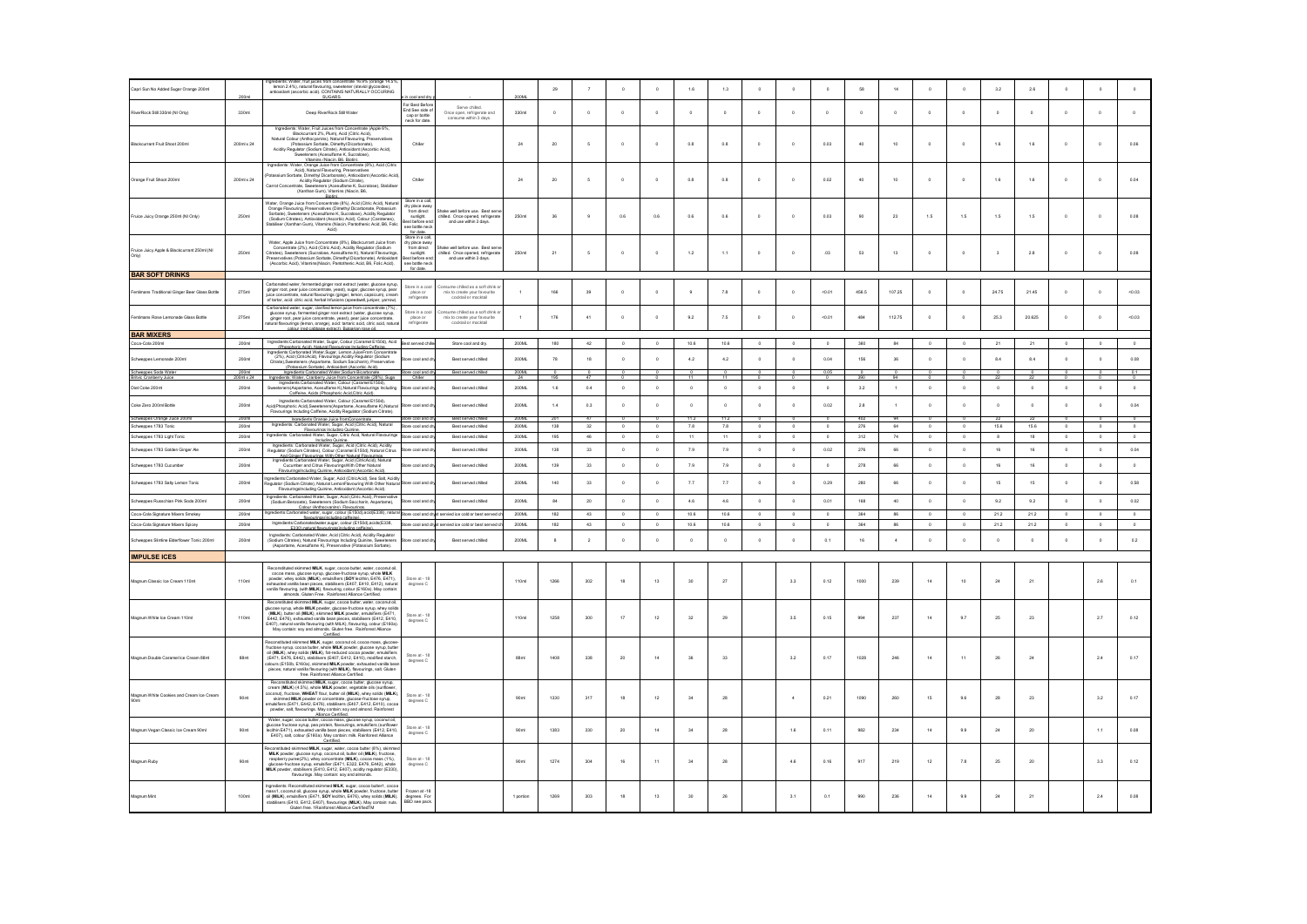| Capri Sun No Added Sugar Orange 200ml                                       |                           | : Water, fruit juices from concentrate 16.9% (orange 14.5%<br>lemon 2.4%), natural flavouring, sweetener (steviol of<br>anticxidant (ascorbic acid). CONTAINS NATURALLY OCCURING<br><b>PLICADE</b>                                                                                                                                                                                                                                                                                                                                                                 |                                                                                                                         |                                                                                              |                       | $29\,$               |                | $\circ$      | $\mathfrak o$ | $1.6\,$               | 1.3            | $\circ$     | $\circ$        | $\mathfrak o$ | 68           | 14                   | $\circ$     | $\circ$      | 3.2                     | $2.6\,$                    | $\theta$      | $\mathfrak{o}$ |                        |
|-----------------------------------------------------------------------------|---------------------------|--------------------------------------------------------------------------------------------------------------------------------------------------------------------------------------------------------------------------------------------------------------------------------------------------------------------------------------------------------------------------------------------------------------------------------------------------------------------------------------------------------------------------------------------------------------------|-------------------------------------------------------------------------------------------------------------------------|----------------------------------------------------------------------------------------------|-----------------------|----------------------|----------------|--------------|---------------|-----------------------|----------------|-------------|----------------|---------------|--------------|----------------------|-------------|--------------|-------------------------|----------------------------|---------------|----------------|------------------------|
| RiverRock Still 330ml (NI Only)                                             | 330ml                     | Deep RiverRock Still Water                                                                                                                                                                                                                                                                                                                                                                                                                                                                                                                                         | or Rest Refor<br>For Best Beror<br>End See side of<br>cap or bottle<br>eck for date                                     | Serve chiled.<br>Once open, refrigerate and<br>consume within 3 days.                        | 330m                  | $\circ$              | $\circ$        | $\circ$      | $\mathbf{0}$  | $\circ$               | $\circ$        | $\circ$     | $\circ$        | $\circ$       | $\circ$      | $\circ$              | $\circ$     | $\circ$      |                         | $\circ$                    |               | $\circ$        |                        |
| Blackcurrant Fruit Shoot 200ml                                              | 200ml x 24                | Ingredients: Water, Fruit Juices from Concentrate (Apple 6%,<br>Blackcurrant 2%, Plum), Acid (Citric Acid).<br>Natural Colour (Anthocyanins), Matural Elavour Australianus<br>Matural Colour (Anthocyanins), Natural Elavouring, Preservatives<br>(Potassium Sontate, Dimethyl Dicantonate),<br>Antioxidam (Ascorbic Acid),<br>Sweeteners (Acesultame K.                                                                                                                                                                                                           | Chiler                                                                                                                  |                                                                                              | 24                    | 20                   | $\overline{5}$ | $\circ$      | $\circ$       | 0.8                   | 0.8            | $^{\circ}$  | $\circ$        | 0.03          | 40           | 10                   | $\circ$     | $\circ$      | 1.6                     | 1.6                        | $\circ$       | $^{\circ}$     | 0.06                   |
| Orange Fruit Shoot 200ml                                                    | 200ml x 24                | Vitamins (Niarin RK Rintin)<br>Ingredients: Water, Orange Juice from Concentrate (8%), Acid (Citric<br>Acid), Natural Flavouring, Preservatives<br>tassium Sorbate. Dimethyl Dicarbonate). Antioxidant (Ascorbic Acid)<br>Acidity Regulator (Sodium Citrate),<br>Carrot Concentrate, Sweeteners (Acesulfame K. Sucralose), Stabilise<br>(Xanthan Gum), Vitamins (Niacin, B6,                                                                                                                                                                                       | Chiler                                                                                                                  |                                                                                              | 24                    | 20                   | $\overline{5}$ | $\circ$      | $\circ$       | 0.8                   | 0.8            | $\circ$     | $\circ$        | 0.02          | 40           | 10                   | $^{\circ}$  | $\circ$      | 1.6                     | 1.6                        | $\circ$       | $^{\circ}$     | 0.04                   |
| Fruice Juicy Orange 250ml (NI Only)                                         | 250ml                     | Water, Orange Juice from Concentrate (8%), Acid (Citric Acid), Natura<br>Orange Flavouring, Preservatives (Dimethyl Dicarbonate, Potassium<br>Sorbate), Sweeteners (Acesulfame K, Sucralose), Acidity Regulator<br>(Sodium Citrates), Antioxidant (Ascorbic Acid), Colour (Carotenes)<br>tabiliser (Xanthan Gum), Vitamins (Niacin, Pantothenic Acid, B6, Folic<br>Acid)                                                                                                                                                                                           | Store in a col<br>try place awa<br>from direct<br>sunlight<br>st before en<br>see bottle ned                            | ske well before use. Best serv<br>hilled. Once opened, refrigerate<br>and use within 3 days. | 250ml                 | 36                   | $\overline{9}$ | 0.6          | 0.6           | 0.6                   | 0.6            | $\,$ 0      | $\circ$        | 0.03          | 90           | 23                   | 1.5         | 1.5          | 1.5                     | 1.5                        | $\circ$       | $^{\circ}$     | 0.08                   |
| Fruice Juicy Apple & Blackcurrant 250ml (N<br>Only)                         | 250ml                     | Water, Apple Juice from Concentrate (8%), Blackcurrant Juice from<br>Concentrate (2%), Acid (Citric Acid), Acidity Regulator (Sodium<br>Citrates), Sweeteners (Sucralose, Acesulfame K), Natural Flavourings,<br>reservatives (Potassium Sorbate, Dimethyl Dicarbonate), Antioxidar<br>(Ascorbic Acid), Vitamins(Niacin, Pantothenic Acid, B6, Folic Acid).                                                                                                                                                                                                        | for date.<br>Store in a co<br>dry place awa<br>from direct<br>sunlight<br>est before end<br>see bottle neck<br>for date | ke well before use. Best serv<br>hilled. Once opened, refrigerati<br>and use within 3 days.  | 250ml                 | $\bf 21$             | 5              | $\circ$      | $\circ$       | $1.2\,$               | 1.1            | $\circ$     | $\circ$        | .03           | 53           | $13\,$               | $^{\circ}$  | $\,$ 0 $\,$  | $\overline{\mathbf{3}}$ | $2.8\,$                    | $\circ$       | $^{\circ}$     | 0.08                   |
| <b>BAR SOFT DRINKS</b>                                                      |                           |                                                                                                                                                                                                                                                                                                                                                                                                                                                                                                                                                                    |                                                                                                                         |                                                                                              |                       |                      |                |              |               |                       |                |             |                |               |              |                      |             |              |                         |                            |               |                |                        |
| Fentimans Traditional Ginger Beer Glass Bottle                              | 275ml                     | Carbonated water, fermented ginger root extract (water, glucose syrup,<br>ginger root, paar juice concentrate, yeast), sugar, glucose syrup, pear<br>juice concentrate, natural flavourings (ginger, lemon, capsicum), cream<br>of tart                                                                                                                                                                                                                                                                                                                            | Store in a coo<br>place or<br>refrigerate                                                                               | sume chiled as a soft drink o<br>mix to create your favourite<br>cocktail or mocktail        |                       | 166                  | 39             | $\circ$      | $\circ$       | $\,9$                 | 7.8            | $\circ$     | $\circ$        | $-0.01$       | 456.5        | 107.25               | $\circ$     | $\circ$      | 24.75                   | 21.45                      | $\mathfrak o$ | $\circ$        | $-0.03$                |
| Fentimans Rose Lemonade Glass Bottle                                        | 275ml                     | Carbonated water, sugar, clarified lemon juice from concentrate (7%)<br>union manus, sugges, camino annos proto sistema (water, glucose syrup, permented ginger root extract (water, glucose syrup, ginger root extract (water, glucose syrup, and the concentrate, exact), pearl, pearl, concentrate,                                                                                                                                                                                                                                                             | Store in a coo<br>place or<br>refrigerate                                                                               | onsume chilled as a soft drink o<br>mix to create your favourite<br>cocktail or mocktail     | $\Delta$              | 176                  | 41             | $\circ$      | $\circ$       | 9.2                   | 7.5            | $^{\circ}$  | $\circ$        | $-0.01$       | 484          | 112.75               | $\circ$     | $\circ$      | 25.3                    | 20.625                     | $\circ$       | $^{\circ}$     | $-0.03$                |
| <b>BAR MIXERS</b>                                                           |                           |                                                                                                                                                                                                                                                                                                                                                                                                                                                                                                                                                                    |                                                                                                                         |                                                                                              |                       |                      |                |              |               |                       |                |             |                |               |              |                      |             |              |                         |                            |               |                |                        |
| Coca-Cola 200ml                                                             | 200ml                     | Ingredients:Carbonated Water, Sugar, Colour (Caramel E150d), Acid<br>-<br>(Phosphoric Acid), Natural Flavourings Including Caffeine.                                                                                                                                                                                                                                                                                                                                                                                                                               |                                                                                                                         | Store cool and dry.                                                                          | 200ML                 | 180                  | 42             | $\circ$      | $\circ$       | 10.6                  | 10.6           | $\circ$     | $\circ$        | $\circ$       | 360          | 84                   | $\,$ 0      | $\circ$      | 21                      | 21                         | $\circ$       | $\circ$        | $\circ$                |
| hweppes Lemonade 200ml                                                      | 200 <sub>mi</sub><br>200m | Ingredients:Carbonated Water,Sugar, Lemon JuiceFrom Concentrate<br>(2%), Acid (CitricAcid), Flavourings, Acidity Regulator (Sodium<br>e), Aciu (Cimicacia), Hawoumpg, Aciusty keguiator (Socium<br>e), Sweeteners (Asparlame, Socium Saccharin), Preservative<br>(Potasskim Sorbate), Artioxidant (Ascorbic Acid),<br>Ingredients: Carbonated Water, Sodium Bicarbona<br>Citrate), Su                                                                                                                                                                              | re cool and d                                                                                                           | Best served chilled                                                                          | 200ML<br>200M         | 78                   | 18             | $\circ$      | $\mathbf 0$   | $4\,2$                | 4.2            | $\circ$     | $\circ$        | 0.04          | 156          | 36                   | $\circ$     | $\circ$      | 8.4                     | 8.4                        | $\circ$       | $\circ$        | 0.08<br>0.1            |
| Sch<br>Britv<br>veppes Soda Water<br>ic Cranberry Jul                       | $200m \times 24$          | Ingredients: Water, Cranberry Juice from Concentrate (28%), Suga<br>Ingredients: Carbonated Water, Colour (Caramel E150d),                                                                                                                                                                                                                                                                                                                                                                                                                                         | Chile                                                                                                                   | Best served chilled                                                                          |                       |                      |                |              |               |                       |                |             |                | 0.05          |              |                      |             |              |                         |                            |               |                |                        |
| et Coke 200ml                                                               | 200ml                     | Sweeteners(Aspartame, Acesulfame K),Natural Flavourings Including<br>Caffeine, Acids (Phosphoric Acid,Citric Acid)<br>Ingredients:Carbonated Water, Colour (Caramel E150d).                                                                                                                                                                                                                                                                                                                                                                                        | re cool and                                                                                                             | Best served chiled                                                                           | 200ML                 | $1.6\,$              | $0.4\,$        | $\circ$      | $\circ$       | $\,$ 0 $\,$           | $\circ$        | $\,$ 0 $\,$ | $\circ$        | $\,$ 0 $\,$   | 3.2          | $\mathbf{1}$         | $\circ$     | $\circ$      | $\circ$                 | $\,$ 0 $\,$                | $\circ$       | $\,$ 0 $\,$    | $\circ$                |
| Coke Zero 200ml Bottle                                                      | 200ml<br>200ml            | sphoric Acid).Sweeteners (Aspartame, Acesulfame K).Natural<br>Flavourings Including Caffeine, Acidity Regulator (Sodium Citrate).                                                                                                                                                                                                                                                                                                                                                                                                                                  | ore cool and o<br>Store cool and di                                                                                     | Best served chilled<br>Best served chilled                                                   | 200ML<br><b>200ML</b> | $1.4\,$<br>201       | 0.3            | $\circ$      | $\mathfrak o$ | $\circ$<br>11.2       | $\circ$<br>112 | $\,$ 0 $\,$ | $\circ$        | 0.02          | 2.8<br>402   | $\overline{1}$<br>qa | $\,$ 0 $\,$ | $\circ$      | $\circ$                 | $\circ$<br>$\overline{22}$ | $\mathfrak o$ | $\circ$        | 0.04<br>$\overline{0}$ |
| Schweppes Orange Juice 200ml<br>Schweppes 1783 Tonic                        | 200ml                     | Ingredients:Orange Juice fromConcentrate.<br>Ints: Carbonated Water, Sugar, Acid (Citric Acid), Natural<br>Flavourings Including Quinine.<br>Ingredien                                                                                                                                                                                                                                                                                                                                                                                                             | Store cool and o                                                                                                        | Best served chiled                                                                           | 200ML                 | 138                  | 32             | $\circ$      | $\circ$       | $7.8\,$               | $7.8\,$        | $^{\circ}$  | $\circ$        | $\circ$       | $_{\rm 276}$ | 64                   | $\circ$     | $\circ$      | 15.6                    | 15.6                       | $\circ$       | $^{\circ}$     | $\circ$                |
| .<br>Schweppes 1783 Light Tonic                                             | 200m                      | Ingredients: Carbonated Water, Sugar, Citric Acid, Natural Flavourings                                                                                                                                                                                                                                                                                                                                                                                                                                                                                             | ore cool and o                                                                                                          | Best served chiled                                                                           | 200ML                 | 195                  | 46             | $\circ$      | $\mathfrak o$ | 11                    | 11             | $\circ$     | $\circ$        | $\circ$       | 312          | $\scriptstyle{74}$   | $\circ$     | $\circ$      | $^{\rm 8}$              | 18                         | $\circ$       | $\circ$        | $\circ$                |
| Schweppes 1783 Golden Ginger Ale                                            | 200ml                     | Including Quinine.<br>Ingredients: Carbonated Water, Sugar, Acid (Citric Acid), Acidity<br>Regulator (Sodium Citrates), Colour (Caramel E150d), Natural Citrus                                                                                                                                                                                                                                                                                                                                                                                                     | ore cool and d                                                                                                          | Best served chiled                                                                           | 200ML                 | 138                  | 33             | $\circ$      | $\circ$       | 7.9                   | 7.9            | $\circ$     | $\circ$        | 0.02          | 276          | 66                   | $\circ$     | $\circ$      | 16                      | $16\,$                     | $\circ$       | $\circ$        | 0.04                   |
| .<br>Schweppes 1783 Cucumber                                                | 200ml                     | And Ginger Flavourings With Other Natural Elayourings<br>gredients:Carbonated Water, Sugar, Acid (CitricAcid), Natural<br>Cucumber and Citrus FlavouringsWith Other Natural<br>Cucumber and Citrus FlavouringsWith Other Natural<br>oomees xxater, augur, Aciu (CrutCACid), Na<br>and Citrus FlavouringsWith Other Natural<br>ciuding Quinine, Antioxidant (Ascorbic Acid                                                                                                                                                                                          | ore cool and o                                                                                                          | Best served chiled                                                                           | 200ML                 | 139                  | 33             | $\circ$      | $\circ$       | 7.9                   | 7.9            | $\circ$     | $\circ$        | $\circ$       | 278          | 66                   | $\circ$     | $\circ$      | 16                      | 16                         | $\circ$       | $^{\circ}$     | $\circ$                |
| Schweppes 1783 Salty Lemon Tonic                                            | 200 <sub>ml</sub>         | ngredients:Carbonated Water, Sugar, Acid (CitricAcid), Sea Salt, Acidity<br>Regulator (Sodium Citrate), Natural LemonFlavouring With Other Natural<br>FlavouringsIncluding Quinine, Antioxidant (Ascorbic Acid).<br>gredients: Carbonated Water, Sugar, Acid (Citric Acid), Preserva                                                                                                                                                                                                                                                                               | ore cool and o                                                                                                          | Best served chiled                                                                           | 200ML                 | 140                  | $_{\rm 33}$    | $\circ$      | $\mathfrak o$ | $\scriptstyle\rm 7.7$ | $7.7\,$        | $\circ$     | $\circ$        | 0.29          | 280          | 66                   | $\,$ 0      | $\circ$      | 15                      | 15                         | $\mathfrak o$ | $\circ$        | 0.58                   |
| Schweppes Russchian Pink Soda 200ml                                         | 200ml                     | (Sodium Benzoate), Sweeteners (Sodium Saccharin, Aspartame),<br>Colour (Anthocyaning). Flavourings.<br>ents:Carbonated water, sugar, colour (E150d),acid(E338), natura                                                                                                                                                                                                                                                                                                                                                                                             | ore cool and d                                                                                                          | Best served chiled                                                                           | 200ML                 | 84                   | 20             | $\circ$      | $\circ$       | 4.6                   | 4.6            | $^{\circ}$  | $\circ$        | 0.01          | 168          | 40                   | $^{\circ}$  | $\circ$      | 9.2                     | 9.2                        | $\circ$       | $^{\circ}$     | 0.02                   |
|                                                                             | 200ml                     |                                                                                                                                                                                                                                                                                                                                                                                                                                                                                                                                                                    | thre cool and do                                                                                                        | therwied ice cold or best served                                                             | 200ML                 | 182                  | 43             | $\mathbf{a}$ | $\theta$      | 10.6                  | 10.6           | $\Omega$    | $\Omega$       | $\sim$        | 364          | <b>RR</b>            | $\theta$    | $\mathbf{a}$ | 212                     | 212                        | $\theta$      | $\theta$       | $\circ$                |
| .<br>Coca-Cola Signature Mixers Smokey<br>Coca-Cola Signature Mixers Spicey | 200ml                     | resources materials of the control of the control of the control of the control of the control of the control of the control of the E330, control of the control of the control of the control of the control of the control o                                                                                                                                                                                                                                                                                                                                     |                                                                                                                         | Store cool and dryst servied ice cold or best served                                         | 200ML                 | 182                  | 43             | $\circ$      | $\,$ 0 $\,$   | 10.6                  | 10.6           | $\,$ 0 $\,$ | $\circ$        | $\circ$       | 364          | 86                   | $\,$ 0 $\,$ | $\circ$      | 21.2                    | 21.2                       | $\,$ 0 $\,$   | $\circ$        | $\circ$                |
| Schweppes Stimline Elderflower Tonic 200ml                                  | 200 <sub>mi</sub>         | Ingredients: Carbonated Water, Acid (Citric Acid), Acidity Regulator<br>(Sodium Citrates), Natural Flavourings Including Quinine, Sweeteners<br>(Aspartame, Acesulfame K), Preservative (Potassium Sorbate).                                                                                                                                                                                                                                                                                                                                                       | ore cool and dry                                                                                                        | Best served chilled                                                                          | 200ML                 | $\ddot{\phantom{a}}$ | $\,$ 2         | $\,$ 0 $\,$  | $\circ$       | $\,$ 0                | $\,$ 0         | $\,$ 0 $\,$ | $\,$ 0         | $0.1\,$       | $16$         | $\,$ 4 $\,$          | $\,$ 0      | $\circ$      | $\,$ 0                  | $\,$ 0 $\,$                | $\circ$       | $\circ$        | $0.2\,$                |
| <b>IMPULSE ICES</b>                                                         |                           |                                                                                                                                                                                                                                                                                                                                                                                                                                                                                                                                                                    |                                                                                                                         |                                                                                              |                       |                      |                |              |               |                       |                |             |                |               |              |                      |             |              |                         |                            |               |                |                        |
| Magnum Classic Ice Cream 110ml                                              | 110ml                     | Reconstituted skimmed MILK, sugar, cocoa butter, water, coconut oil<br>Cocoa mass, glucose syrup, glucose fructose syrup, whole MILK<br>powder, whey solids (MILK), emulsifiers (SOY lecithin, E476, E471),<br>exhausted vanilla bean pieces, stabilisers (E407, E410, E412), natural<br>ranilla flavouring, (with MILK), flavouring, colour (E160a). May contain:<br>almonds. Gluten Free. Rainforest Alliance Certified.                                                                                                                                         | Store at - 18<br>degrees C                                                                                              |                                                                                              | 110ml                 | 1266                 | 302            | $18$         | 13            | 30                    | $27\,$         |             | 3.3            | 0.12          | 1000         | 239                  | 14          | $10$         | 24                      | $\mathbf{21}$              |               | 2.6            | 0.1                    |
| Magnum White Ice Cream 110ml                                                | $110ml$                   | Reconstituted skimmed MILK, sugar, cocoa butter, water, coconut oil<br>reconsistants sixter in MLK powder, successive fractions syrup, whey solid<br>glacose syrup, whole MLK powder, glacose-fructions syrup, whey solid<br>(MLK), butter all (MLK), skimmed MLK powder, emulsifiers (E417,<br>E442, E476), e<br>5407), natural vanilla flavouring (with MILK), flavouring, colour (E160a)<br>May contain: soy and almonds. Gluten free. Rainforest Alliance<br>Certified.                                                                                        | degrees C                                                                                                               |                                                                                              | 110ml                 | 1258                 | $300\,$        | 17           | 12            | 32                    | 29             |             | $_{\rm 3.5}$   | 0.15          | 994          | 237                  | 14          | 9.7          | 25                      | $\bf 23$                   |               | 2.7            | 0.12                   |
| Magnum Double Caramel Ice Cream 88ml                                        | 88ml                      | Reconstituted skimmed MILK, sugar, coconut oil, cocoa mass, glucos<br>fructose syrup, cocoa butter, whole MILK powder, glucose syrup, butte<br>oil (MILK), whey solids (MILK), fat-reduced cocoa powder, emulsifiers<br>(E471, E476, E442), stabilisers (E407, E412, E410), modified starch.<br>lours (E150b, E160a), skimmed MILK powder, exhausted vanilla bea<br>pleces, natural vanilla flavouring (with MILK), flavourings, salt. Gluten<br>pleces, natural vanilla flavouring (with MILK), flavourings, salt. Gluten<br>free. Rainforest Alliance Certified. | Store at - 18<br>degrees C                                                                                              |                                                                                              | 88ml                  | 1408                 | 338            | 20           | 14            | 36                    | 33             |             | 3.2            | 0.17          | 1028         | 246                  | 14          | 11           | 26                      | $24\,$                     |               | 2.4            | 0.17                   |
| Magnum White Cookies and Cream Ice Cream<br>90ml                            | 90ml                      | ded skimmed MILK, sugar, cocoa butter, glucose syrup,<br>cream (MILK) (4.5%), whole MILK powder, vegetable oils (sunflowe<br>community provides and an analysis and the proposition of the conditional statement of the conditional statement of the method of the conditional statement of the condition of the condition of the condition of the conditio<br>Alliance Certified.                                                                                                                                                                                 | Store at - 18<br>degrees C                                                                                              |                                                                                              | 90ml                  | 1330                 | 317            | $18\,$       | $12\,$        | $_{\rm 34}$           | $\rm 28$       |             | $\overline{4}$ | 0.21          | 1090         | 260                  | $15\,$      | $9.6\,$      | $\bf 28$                | $\bf 23$                   |               | $_{\rm 3.2}$   | 0.17                   |
| Magnum Vegan Classic Ice Cream 90ml                                         | 90ml                      | Water, sugar, cocoa butter, cocoa mass, glucose syrup, coconut oil,<br>plucose fructose syrup, pea protein, flavourings, emulsifiers (sunflower<br>lecithin E471), exhausted vanilla bean pieces, stabilisers (E412, E410,<br>E407), salt, colour (E160a). May contain: milk. Rainforest Alliance                                                                                                                                                                                                                                                                  | Store at - 18<br>degrees C                                                                                              |                                                                                              | 90ml                  | 1383                 | 330            | 20           | 14            | 34                    | 28             |             | 1.6            | 0.11          | 982          | 234                  | 14          | 9.9          | 24                      | 20                         |               | 1.1            | 0.08                   |
| Magnum Ruby                                                                 | 90ml                      | stituted skimmed MILK, sugar, water, cocoa butter (8%), skimme<br>MILK powder, glucose syrup, coconut oil, butter oil (MILK), fructose,<br>rasoberry puree(2%), whey concentrate (MILK), cocoa mass (1%).<br>Inspired by particular products and the state of the procedure of the product of the product of the MILK powder, stabilisers (E410, E412, E407), acidity regulator (E330), flavourings. May contain: soy and almonds.                                                                                                                                 | Store at - 18<br>degrees C                                                                                              |                                                                                              | 90ml                  | 1274                 | 304            | 16           | 11            | 34                    | 28             |             | 4.6            | 0.16          | 917          | 219                  | 12          | 7.8          | 25                      | 20                         |               | 3.3            | 0.12                   |
| Magnum Mint                                                                 | 100 <sub>ml</sub>         | Ingredients: Reconstituted skimmed MILK, sugar, cocoa butter1, coco.<br>ground in contract in the angle is control of the state of the state of the state of the state of MLK power function, butter it (MLK), emails from the MLK power of the MLK power of the MLK backlines (F471, SOY helichine E4<br>oil (MILK), emulsi                                                                                                                                                                                                                                       | Frozen at . 18<br>degrees. For<br>BBD see pack                                                                          |                                                                                              | 1 portion             | 1269                 | 303            | 18           | 13            | 30                    | 26             |             | 3.1            | 0.1           | 990          | 236                  | 14          | $9.9\,$      | 24                      | $\mathbf{21}$              |               | $2.4\,$        | 0.08                   |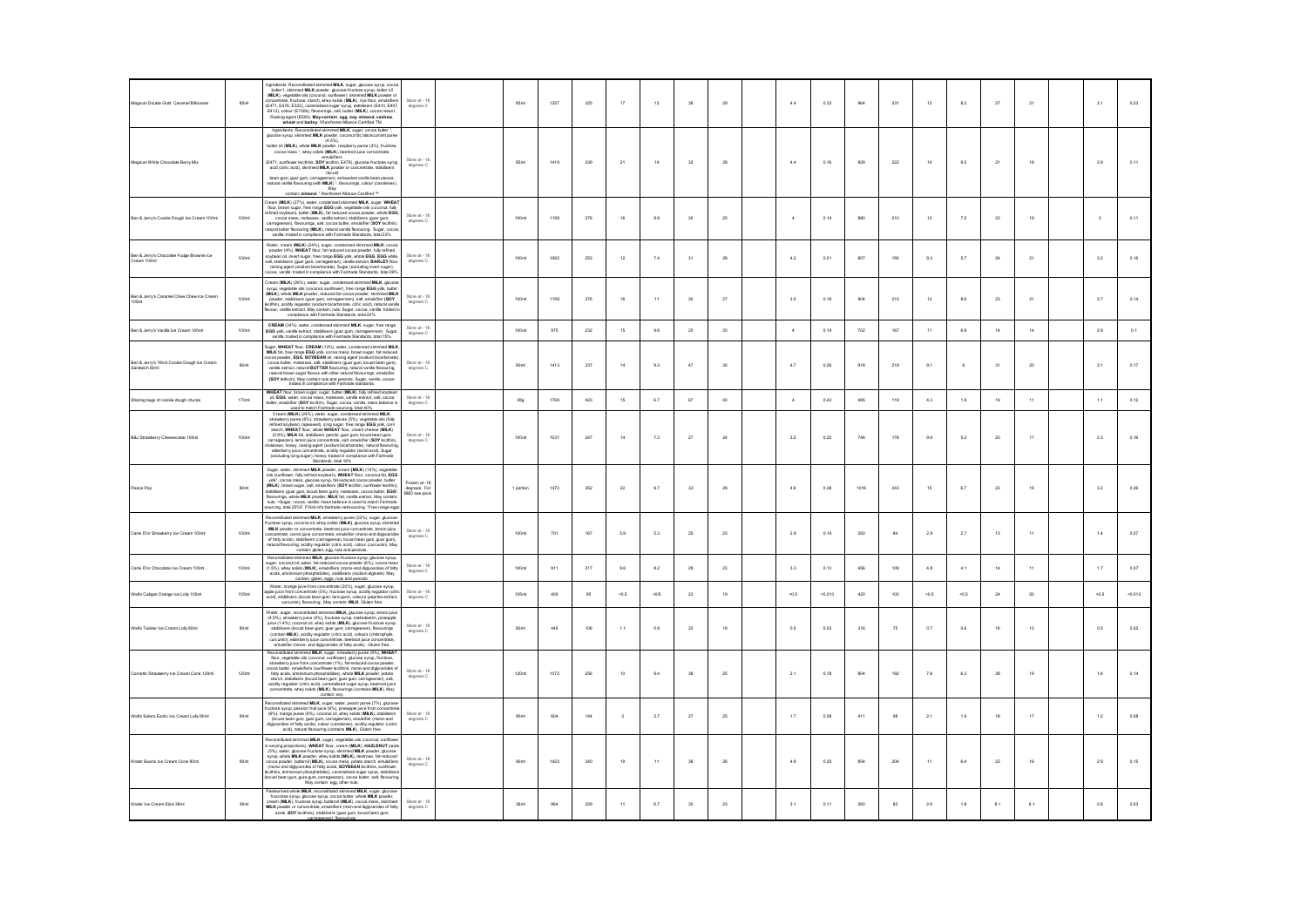| Magnum Double Gold Caramel Billionaire                      | 85ml              | Ingredients: Reconstituted skimmed MILK, sugar, glucose syrup, cocoa<br>butteri, skimmed MILK, powder, glucose-fructose syrup, tutter oil<br>(MILK), vegetable oils (coconut, sunfrower), skimmed MILK powder or<br>cocoentrafilme,<br>E412), colour (E150b), flavourings, salt, butter (MILK), cocoa mass1,<br>Raising agent (E500). May contain: egg, soy, almond, cashew,<br>wheat and barley. 1Rainforest Aliance Certified TM                                                                                                                                                                                                                                                                                                                     | degrees C                                    | 85n              | 1357 | 325 | 17                      | 12           | 38          | 29            | 4.4            | 0.33  | 964       | 231       | $12\,$        | 8.2          | $\overline{27}$ | 21          | 3.1                     | 0.23     |
|-------------------------------------------------------------|-------------------|--------------------------------------------------------------------------------------------------------------------------------------------------------------------------------------------------------------------------------------------------------------------------------------------------------------------------------------------------------------------------------------------------------------------------------------------------------------------------------------------------------------------------------------------------------------------------------------------------------------------------------------------------------------------------------------------------------------------------------------------------------|----------------------------------------------|------------------|------|-----|-------------------------|--------------|-------------|---------------|----------------|-------|-----------|-----------|---------------|--------------|-----------------|-------------|-------------------------|----------|
| Magnum White Chocolate Berry Mix                            |                   | Ingredients: Reconstituted skimmed MILK, sugar, cocoa butter<br>glucose syrup, skimmed MILK powder, coconut fat, blackcurrant puree<br>$(4.5\%),$<br>butter oil (MILK), whole MILK powder, raspberry puree (3%), fructose,<br>cocoa mass ', whey solids (MILK), beetroot juice concentrate,<br>COCus mass ", wray sumer (meet), www.companies.com<br>emisitiers<br>(E471, sunflower lecithins, SOY lecithin, E476), glucose-fructose syrup,<br>acid (citric acid), skimmed MILK powder or concentrate, stabilisers<br>(locus<br>bean gum, guar gum, carrageenan), exhausted vanilla bean pieces,<br>natural vanilla flavouring (with MILK) *, flavourings, colour (carotenes).<br>Máy<br>contain: almond. ' Rainforest Aliance Certified <sup>tw</sup> | Store at - 18<br>degrees C                   | <b>RSml</b>      | 1419 | 339 | 21                      | 14           | 32          | 28            | 44             | 0.16  | 929       | 222       | 14            | 9.2          | 21              | 18          | 29                      | 0.11     |
| Ben & Jerry's Cookie Dough Ice Cream 100ml                  | 100ml             | Cream (MILK) (27%), water, condensed skimmed MILK, sugar, WHEAT<br>flour, brown sugar, free range EGG yok, vegetable olls (coconut, fully<br>refined soybean), butter (MILK), fat reduced cocoa powder, whole EGG,<br>cocoa mass, molasses, vanilla extract, stabilisers (quar gum,<br>carrageenan), flavourings, salt, cocoa butter, emulsifier (SOY lecithin)<br>can species, severally, state, cooler water, capacity and butter favouring (MLK), natural vanilla favouring. Sugar, cool<br>vanilla: traded in compliance with Fairtrade Standards, total 23%.                                                                                                                                                                                      | Store at - 18<br>degrees C                   | 100ml            | 1158 | 276 | 16                      | 9.9          | 30          | 25            | $\frac{4}{3}$  | 0.14  | 880       | 210       | 12            | 7.5          | 23              | 19          | $\overline{\mathbf{3}}$ | 0.11     |
| Ben & Jerry's Chocolate Fudge Brownie Ice<br>Cream 100ml    | 100ml             | Water, cream (MILK) (24%), sugar, condensed skimmed MILK, cocoa<br>powder (4%). WHEAT flour, fat reduced cocoa powder, fully refined<br>soybean oil, invert sugar, free range EGG yolk, whole EGG, EGG white<br>solvation in annume and an american process of the state of the state of the state of the state of the state paid of the state of the state of the state of the state of the state of the state of the state of the state of t                                                                                                                                                                                                                                                                                                         | Store at - 18<br>degrees C                   | 100ml            | 1062 | 253 | 12                      | 7.4          | 31          | 28            | 4.2            | 0.21  | 807       | 192       | 9.3           | 5.7          | 24              | 21          | 32                      | 0.16     |
| Ben & Jerry's Caramel Chew Chew Ice Cream<br>100ml          | 100ml             | Cream (MILK) (26%), water, sugar, condensed skimmed MILK, glucos<br>Latenii (am. Kytz) 9); waar, sugar, turistende us aviimittir film, guidaan sugar, segeralise oliti (coconut, aurifiburer). Itee range EGG yolk, butler (MILK), whole MILK (Kynotex, reduced fat cocoa powder, skintmen MILK<br>(P<br>compliance with Fairtrade Standards, total 20%.                                                                                                                                                                                                                                                                                                                                                                                               | Store at - 18<br>degrees C                   | 100ml            | 1158 | 276 | 16                      | 11           | 30          | $27\,$        | 3.5            | 0.18  | 904       | $215\,$   | $12\,$        | 8.6          | $\bf 23$        | $_{\rm 21}$ | 2.7                     | 0.14     |
| Ben & Jerry's Vanilla Ice Cream 100ml                       | 100ml             | CREAM (34%), water, condensed skimmed MILK, sugar, free range<br><b>EGG</b> yolk, varialla extract, stabilisers (guar gum, carrageennan). Suga<br>varilla: traded in compliance with Fairtrade Standards, total 15%.                                                                                                                                                                                                                                                                                                                                                                                                                                                                                                                                   | Store at - 18<br>degrees C                   | 100ml            | 975  | 232 | 15                      | 9.6          | 20          | 20            | $\mathbf{A}$   | 0.14  | 702       | 167       | 11            | 6.9          | 14              | 14          | 2.9                     | 0.1      |
| Ben & Jerry's 'Wich Cookie Dough Ice Cream<br>Sandwich 80ml | 80ml              | Sugar, WHEAT flour, CREAM (13%), water, condensed skimmed MILK<br>MILK fat, free range EGG volk, cocoa mass, brown sugar, fat reduced<br>coa powder. EGG. SOYBEAN oil, raising agent (sodium bicarbonate<br>cocoa powoler, Esus, SUTEBEAN oir, Riising agent (socialm acaroconse)<br>cocoa butter, molasses, sait, stabilisers (gaar gam, locust bean gam),<br>vanilla exhact, matiaral BUTTER favouring, natural varilla flavouring.<br>natural br                                                                                                                                                                                                                                                                                                    | Store at - 18<br>degrees C                   | 80ml             | 1413 | 337 | 14                      | 9.3          | 47          | 30            | 4.7            | 0.26  | 918       | 219       | 9.1           | 6            | 31              | 20          | 3.1                     | 0.17     |
| Sharing bags of cookie dough chunks                         | 170ml             | flour, brown sugar, sugar, butter (MILK), fully refined soybear<br>ol, EGG, water, cocoa mass, molasses, varilla extract, salt, cocoa<br>butter, emulsifier (SOY lecithin). Sugar, cocoa, vanilla: mass balance is                                                                                                                                                                                                                                                                                                                                                                                                                                                                                                                                     | Store at - 18<br>degrees C                   | 28g              | 1769 | 423 | 15                      | 6.7          | 67          | 40            | $\overline{4}$ | 0.43  | 495       | 118       | 4.3           | 1.9          | 19              | 11          | 1.1                     | 0.12     |
| B&J Strawberry Cheesecake 100ml                             | 100ml             | used to match Fairfrade sourcing total 40%.<br>Cream (MILK) (24%), water, sugar, condensed skimmed MILK,<br>strawberry puree (6%), strawberry pieces (5%), vegetable oils (fully<br>refined soybean, rapeseed), icing sugar, free range EGG yolk, corn<br>starch, WHEAT flour, whole WHEAT flour, cream cheese (MLK)<br>Antiotic WILLENT and Williams Williams Control (0.9%), MLK fat, stabilisers (pecific, guar gum, locust bean gum,<br>carrageeran), heron juice concertate, salt, emulatifier (60Y lechtin), based<br>classes, honey, raising agent (s<br>(excluding icing sugar), honey: traded in compliance with Fairtrade<br>Standards, total 16%                                                                                            | Store at - 18<br>degrees C                   | 100ml            | 1037 | 247 | 14                      | 7.3          | 27          | 24            | 3.2            | 0.22  | 746       | 178       | 9.9           | 5.2          | 20              | 17          | 23                      | 0.16     |
| Peace Pop                                                   | 80ml              | Sugar, water, skimmed MILK powder, cream (MILK) (14%), vegetable<br>ougar, water, saturato mach, power, cueant (mach, r) (14%), regionalistic (surflower, fully refined soybean), WHEAT flour, cocorut fat, EGG yok', cocoa mass, glucose syrup, fat-reduced cocoa powder, butler (MILK), brown su<br>stabilisers (quar qum, locust bean qum), molasses, cocoa butter, EGG <sup>+</sup> .<br>flavourings, whole MILK powder. MILK fat, vanilla extract. May contain<br>nuts off<br>r cocoa, vanilla: mass balance is used to match Fairtrade<br><br>cing, total 25%F. FVisit info.fairtrade.net/sourcing. 'Free range eggs                                                                                                                             | rozen at -18<br>degrees. For<br>BBD see pack | 1 portion        | 1473 | 352 | $\mathbf{^{22}}$        | $9.7\,$      | $_{\rm 33}$ | $\rm 28$      | 4.6            | 0.38  | 1016      | $\bf 243$ | 15            | 6.7          | $23\,$          | 19          | 3.2                     | 0.26     |
| Carte D'or Strawberry Ice Cream 100ml                       | 100ml             | Reconstituted skimmed MILK, strawberry puree (22%), sugar, glucose<br>ructose syrup, coconut oil, whey solids (MILK), glucose syrup, skimmed<br>MILK powder or concentrate, beetroot iuice concentrate, lemon iuice<br>entrate, carrot juice concentrate, emulsifier (mono-and digivoerides<br>concentrate, carros unconcensum wave must<br>similar of fatty acids), stabilisers (carrageenan, locust bean gum, quar gum),<br>natural flavouring, acidity regulator (citric acid), colour (curcumin). May<br>contain: gluten, egg, rud                                                                                                                                                                                                                 | Store at - 18<br>degrees C                   | 100ml            | 701  | 167 | 5.9                     | 5.3          | 25          | $23\,$        | 2.8            | 0.14  | 350       | 84        | 2.9           | 2.7          | 13              | 11          | 1.4                     | 0.07     |
| Carte D'or Chocolate Ice Cream 100ml                        | 100 <sub>ml</sub> | Reconstituted skimmed MILK, glucose-fructose syrup, glucose syrup,<br>sugar, coconut oil, water, fat-reduced cocoa powder (6%), cocoa mas<br>(1.5%), whey solids (MILK), emulsifiers (mono-and diglycerides of fatty<br>acids, ammonium phosphatides), stabilisers (sodium alginate). May<br>contain: oluten, eggs, nuts and peanuts.                                                                                                                                                                                                                                                                                                                                                                                                                  | Store at - 18<br>degrees C                   | 100ml            | 911  | 217 | $9.6\,$                 | $_{\rm 8.2}$ | $28\,$      | $\rm 23$      | $_{\rm 3.3}$   | 0.13  | 456       | 109       | $_{\rm 4.8}$  | $4.1\,$      | 14              | $^{\rm 11}$ | $1.7\,$                 | 0.07     |
| Wal's Calippo Orange Ice Lolly 105ml                        | 105ml             | Water, orange juice from concentrate (20%), sugar, glucose syrup,<br>ppple juice from concentrate (5%), fructose syrup, acidity regulator (china<br>pcic), stabilisers (locust bean gum, tara gum), colours (paprika extraction curc<br>.<br>ika extract,                                                                                                                                                                                                                                                                                                                                                                                                                                                                                              | Store at - 18<br>degrees C                   | 105ml            | 400  | 95  | $-0.5$                  | $-0/5$       | $\bf 23$    | 19            | $-0.5$         | 0.013 | 420       | 100       | $\mbox{<}0.5$ | $<0.5$       | $^{24}$         | 20          | $-0.5$                  | $-0.013$ |
| Wal's Twister Ice Cream Lolly 80ml                          | 80ml              | Water, sugar, reconstituted skimmed MILK, glucose syrup, lemon luice<br>(4.5%), strawberry iuice (4%), fructose syrup, maltode<br>uice (1.4%), coconut oil, whey solids (MILK), glucose-fructose syrup<br>and the way, coordinate and state and state and state in the state of contact and state in the state in the state in the state of contact in the scatter of the scale of contact in the scatter of the scatter center and it o                                                                                                                                                                                                                                                                                                               | Store at - 18<br>degrees C                   | 80ml             | 445  | 106 | 1.1                     | 0.9          | 22          | 18            | 0.5            | 0.03  | 316       | 75        | 0.7           | 0.6          | 16              | 13          | 0.5                     | 0.02     |
| Cornetto Strawberry Ice Cream Cone 120ml                    | 120ml             | Reconstituted skimmed MILK, sugar, strawberry puree (9%), WHEAT<br>flour, vegetable oils (coconut, sunflower), glucose syrup, fructose<br>strawberry juice from concentrate (1%), fat-reduced cocoa powder<br>announce to monito and the property of the constant of the constant of the constant of the constant of the family and the starch, since the starch, since the starch, since the starch, since the starch, since the starch, st<br>concentrate, whey solids (MILK), flavourings (contains MILK). May<br>contain: soy.                                                                                                                                                                                                                     | Store at - 18<br>degrees C                   | 120ml            | 1072 | 256 | 10                      | 8.4          | 38          | 25            | 2.1            | 0.18  | 804       | 192       | 7.8           | 6.3          | 28              | 19          | 1.6                     | 0.14     |
| Wall's Solero Exotic Ice Cream Lolly 90ml                   | 90ml              | Reconstituted skimmed MILK, sugar, water, peach puree (7%), glucose<br>fructose syrup, passion fruit juice (6%), pineapple juice from concentrat<br>(6%), mango puree (6%), coconut oil, whey solids (MILK), stabilisers<br>(locust bean gum, guar gum, carrageenan), emulsifier (mono-and<br>diglycerdies of fatty acids), colour (carotenes), acidity regulator (cotric<br>acid), natural flavouring (contains MILK). Gluten free.                                                                                                                                                                                                                                                                                                                   | degrees C                                    | 90 <sub>mt</sub> | 604  | 144 | $\overline{\mathbf{3}}$ | $2.7\,$      | $\sqrt{27}$ | $2\mathrm{5}$ | $1.7\,$        | 0.08  | $\bf 411$ | $98\,$    | $2.1\,$       | $1.9\,$      | $18\,$          | $17\,$      | $1.2\,$                 | 0.08     |
| Kinder Bueno Ice Cream Cone 90ml                            | 90ml              | Reconstituted skimmed MILK, sugar, vegetable olis (coconut, sunflower<br>in varying proportions), WHEAT flour, cream (MILK), HAZLENUT paster<br>(5%), water, glucose-fructose syrup, skimmed MILK powder, glucose<br>syrup, whole MILK<br>cocoa powder, butteroil (MILK), cocoa mass, potato starch, emulsifiers<br>(mono-and diglycerides of fatty acids, SOYBEAN lecithins, sunflower<br>(locust beam waypourous or nury woust, you runch in the local these arguments of the distinct process (locust beam gum, gura gum, carrage enan), cocoa butter, sat, flavouring May contain: egg, other ruts.                                                                                                                                                | Store at - 18<br>degrees C                   | 90 <sub>mt</sub> | 1423 | 340 | 19                      | 11           | $_{\rm 36}$ | 26            | $4.9\,$        | 0.25  | 854       | $204\,$   | $11$          | $_{\rm 6.4}$ | ${\bf 22}$      | 16          | 2.9                     | 0.15     |
| Kinder Ice Cream Stick 36ml                                 | 36 <sub>ml</sub>  | Pasteurised whole MILK, reconstituted skimmed MILK, sugar, glucose<br>frusctose syrup, glucose syrup, cocoa butter, whole MILK powder,<br>cream (MILK), fructose syrup, butteroil (MILK), cocoa mass, skimmed<br>MILK powder or concentrate, emulsifiers (mon-and diglycerides of fatty<br>acids, SOY lecithins), stabilizers (guar gum, locust bean gum,<br>acids, SOY lecithins                                                                                                                                                                                                                                                                                                                                                                      | Store at - 18<br>degrees C                   | 36 <sub>ml</sub> | 964  | 229 | 11                      | 6.7          | 30          | 23            | 3.1            | 0.11  | 260       | 62        | 2.9           | 1.8          | 8.1             | 6.1         | 0.8                     | 0.03     |